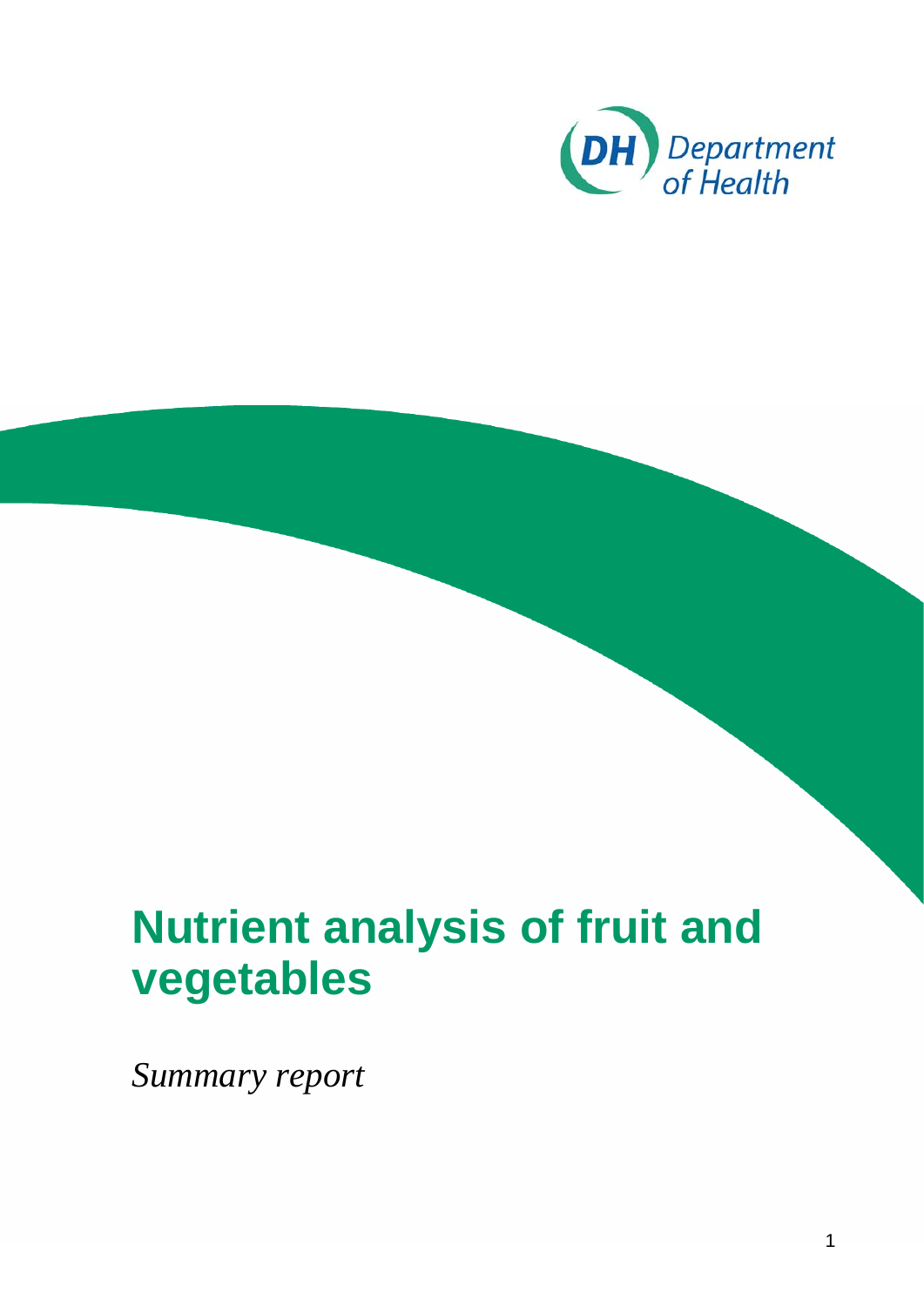

# **vegetables Nutrient analysis of fruit and**

*Summary report*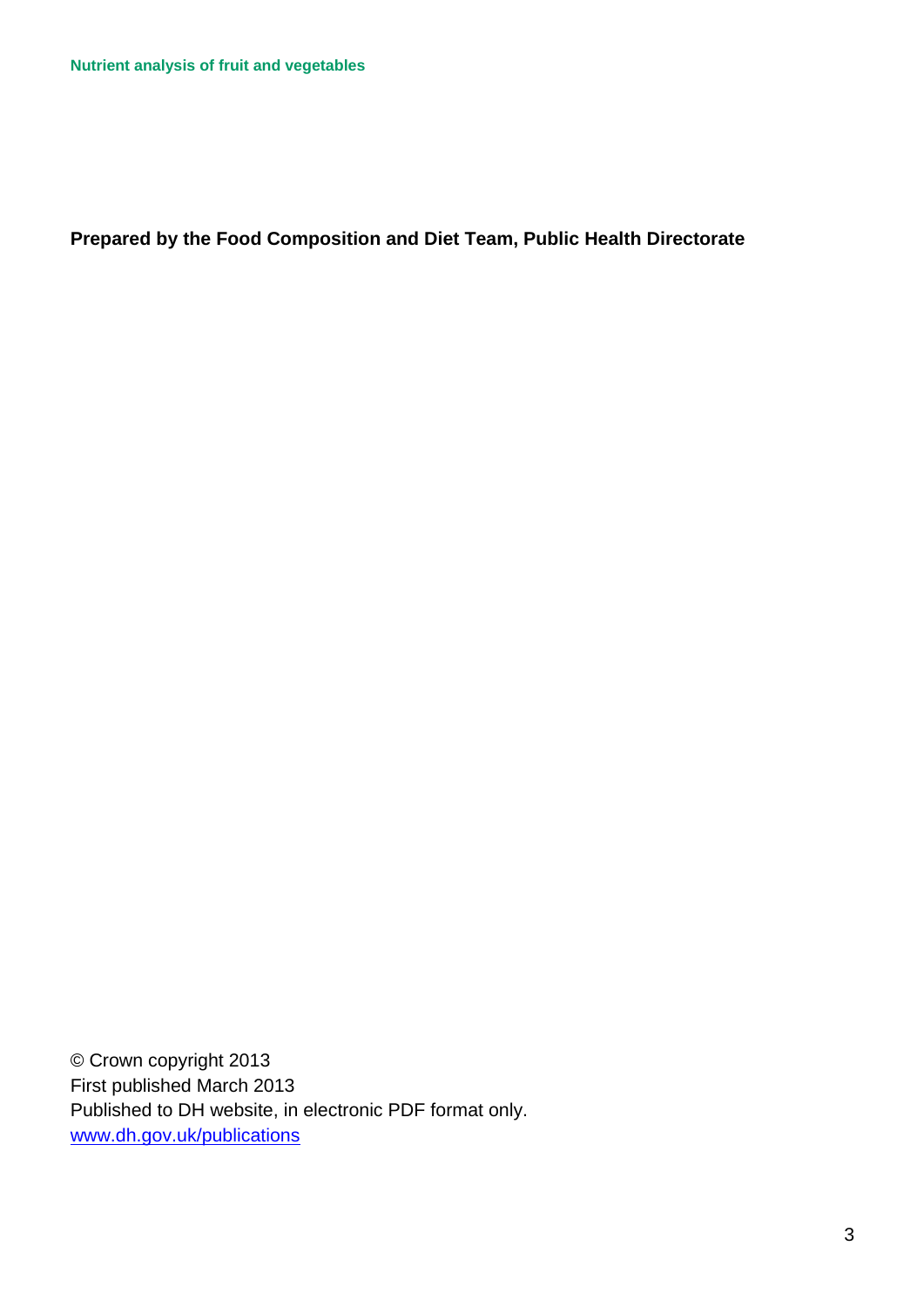**Prepared by the Food Composition and Diet Team, Public Health Directorate** 

© Crown copyright 2013 First published March 2013 Published to DH website, in electronic PDF format only. [www.dh.gov.uk/publications](http://www.dh.gov.uk/publications)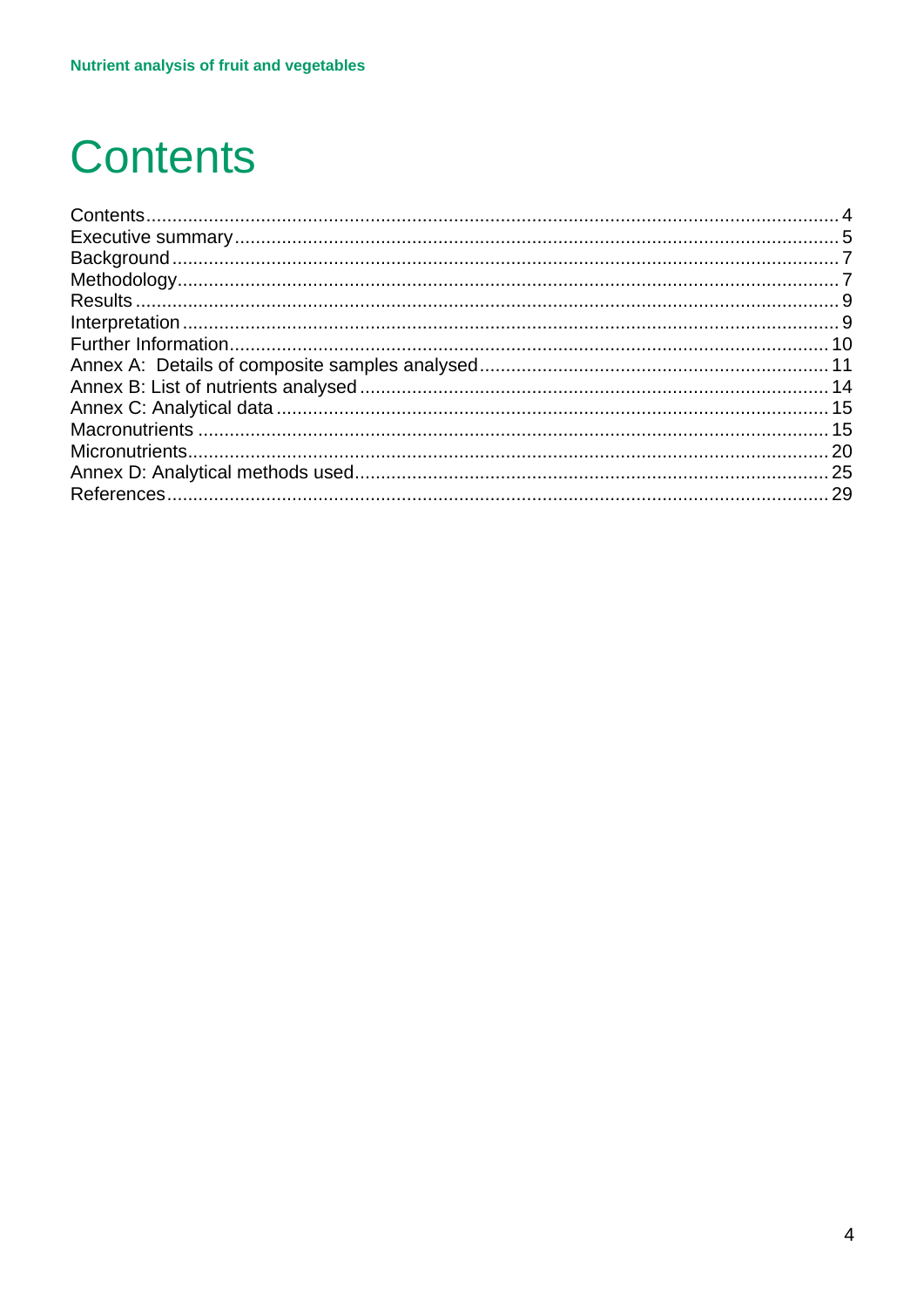## <span id="page-3-0"></span>**Contents**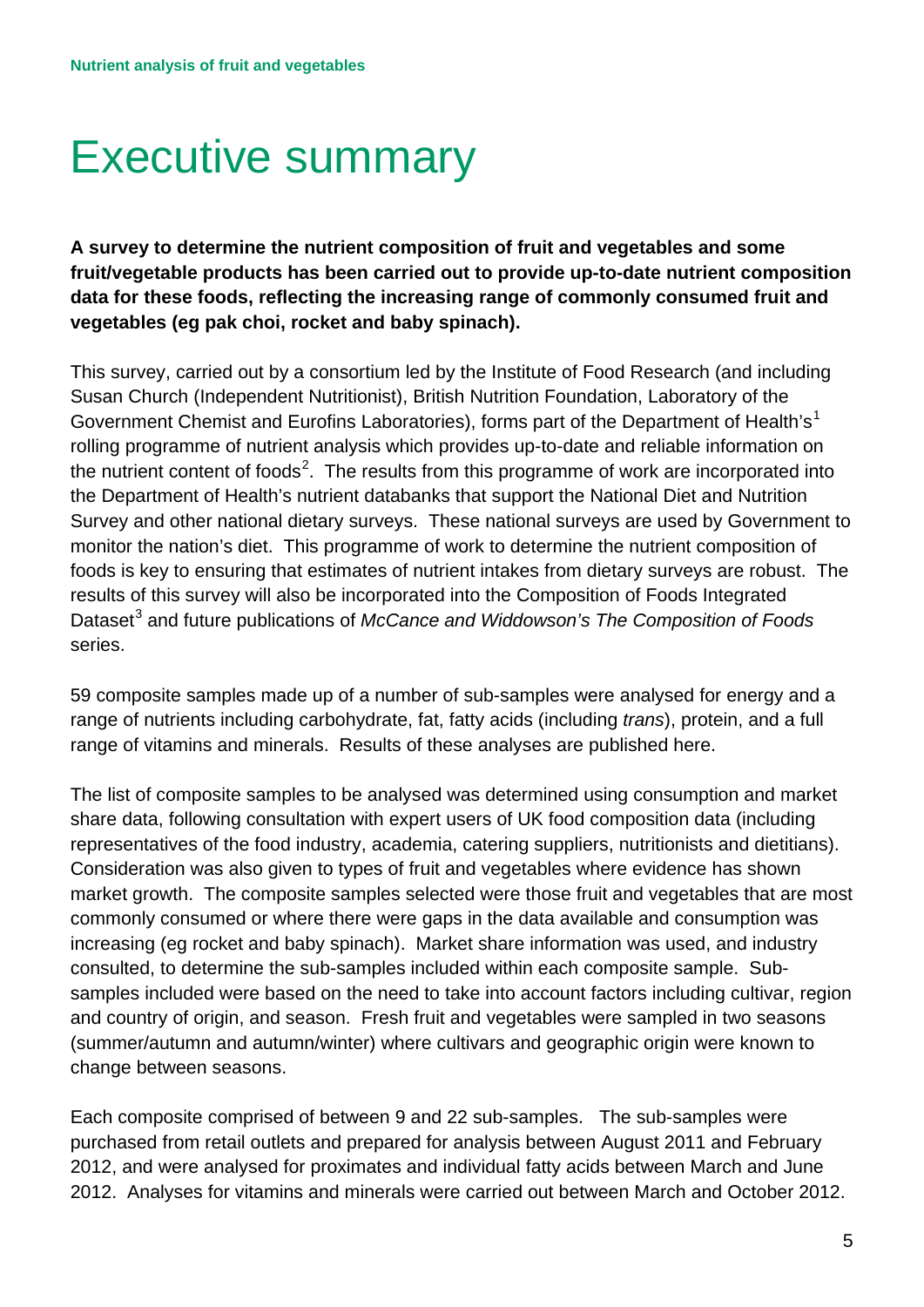## <span id="page-4-0"></span>Executive summary

 **vegetables (eg pak choi, rocket and baby spinach). A survey to determine the nutrient composition of fruit and vegetables and some fruit/vegetable products has been carried out to provide up-to-date nutrient composition data for these foods, reflecting the increasing range of commonly consumed fruit and** 

the nutrient content of foods<sup>[2](#page-28-2)</sup>. The results from this programme of work are incorporated into This survey, carried out by a consortium led by the Institute of Food Research (and including Susan Church (Independent Nutritionist), British Nutrition Foundation, Laboratory of the Government Chemist and Eurofins Laboratories), forms part of the Department of Health's<sup>1</sup> rolling programme of nutrient analysis which provides up-to-date and reliable information on the Department of Health's nutrient databanks that support the National Diet and Nutrition Survey and other national dietary surveys. These national surveys are used by Government to monitor the nation's diet. This programme of work to determine the nutrient composition of foods is key to ensuring that estimates of nutrient intakes from dietary surveys are robust. The results of this survey will also be incorporated into the Composition of Foods Integrated Dataset<sup>3</sup> and future publications of *McCance and Widdowson's The Composition of Foods* series.

 59 composite samples made up of a number of sub-samples were analysed for energy and a range of vitamins and minerals. Results of these analyses are published here. range of nutrients including carbohydrate, fat, fatty acids (including *trans*), protein, and a full

representatives of the food industry, academia, catering suppliers, nutritionists and dietitians). consulted, to determine the sub-samples included within each composite sample. Sub-The list of composite samples to be analysed was determined using consumption and market share data, following consultation with expert users of UK food composition data (including Consideration was also given to types of fruit and vegetables where evidence has shown market growth. The composite samples selected were those fruit and vegetables that are most commonly consumed or where there were gaps in the data available and consumption was increasing (eg rocket and baby spinach). Market share information was used, and industry samples included were based on the need to take into account factors including cultivar, region and country of origin, and season. Fresh fruit and vegetables were sampled in two seasons (summer/autumn and autumn/winter) where cultivars and geographic origin were known to change between seasons.

 Each composite comprised of between 9 and 22 sub-samples. The sub-samples were 2012. Analyses for vitamins and minerals were carried out between March and October 2012. purchased from retail outlets and prepared for analysis between August 2011 and February 2012, and were analysed for proximates and individual fatty acids between March and June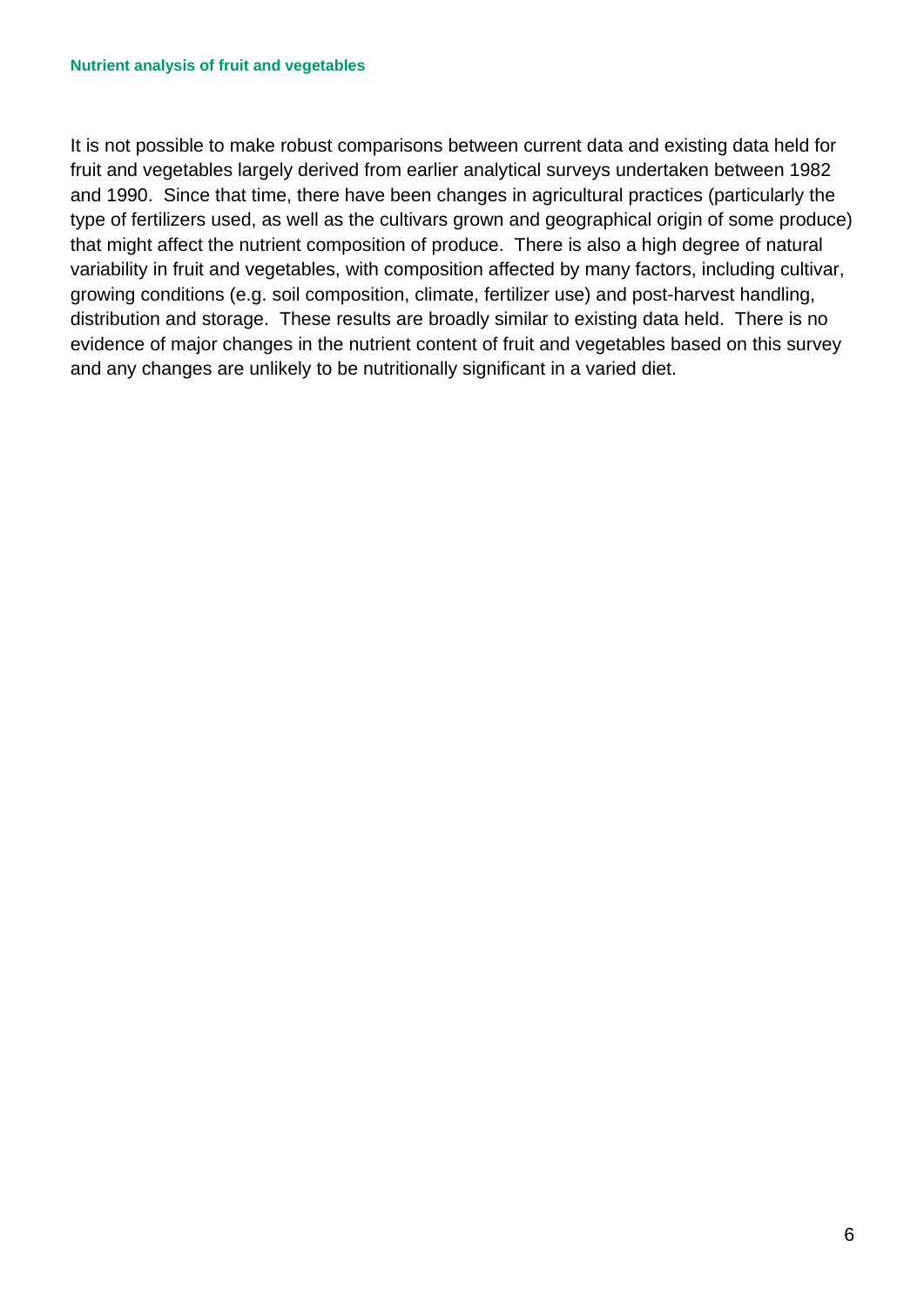that might affect the nutrient composition of produce. There is also a high degree of natural distribution and storage. These results are broadly similar to existing data held. There is no It is not possible to make robust comparisons between current data and existing data held for fruit and vegetables largely derived from earlier analytical surveys undertaken between 1982 and 1990. Since that time, there have been changes in agricultural practices (particularly the type of fertilizers used, as well as the cultivars grown and geographical origin of some produce) variability in fruit and vegetables, with composition affected by many factors, including cultivar, growing conditions (e.g. soil composition, climate, fertilizer use) and post-harvest handling, evidence of major changes in the nutrient content of fruit and vegetables based on this survey and any changes are unlikely to be nutritionally significant in a varied diet.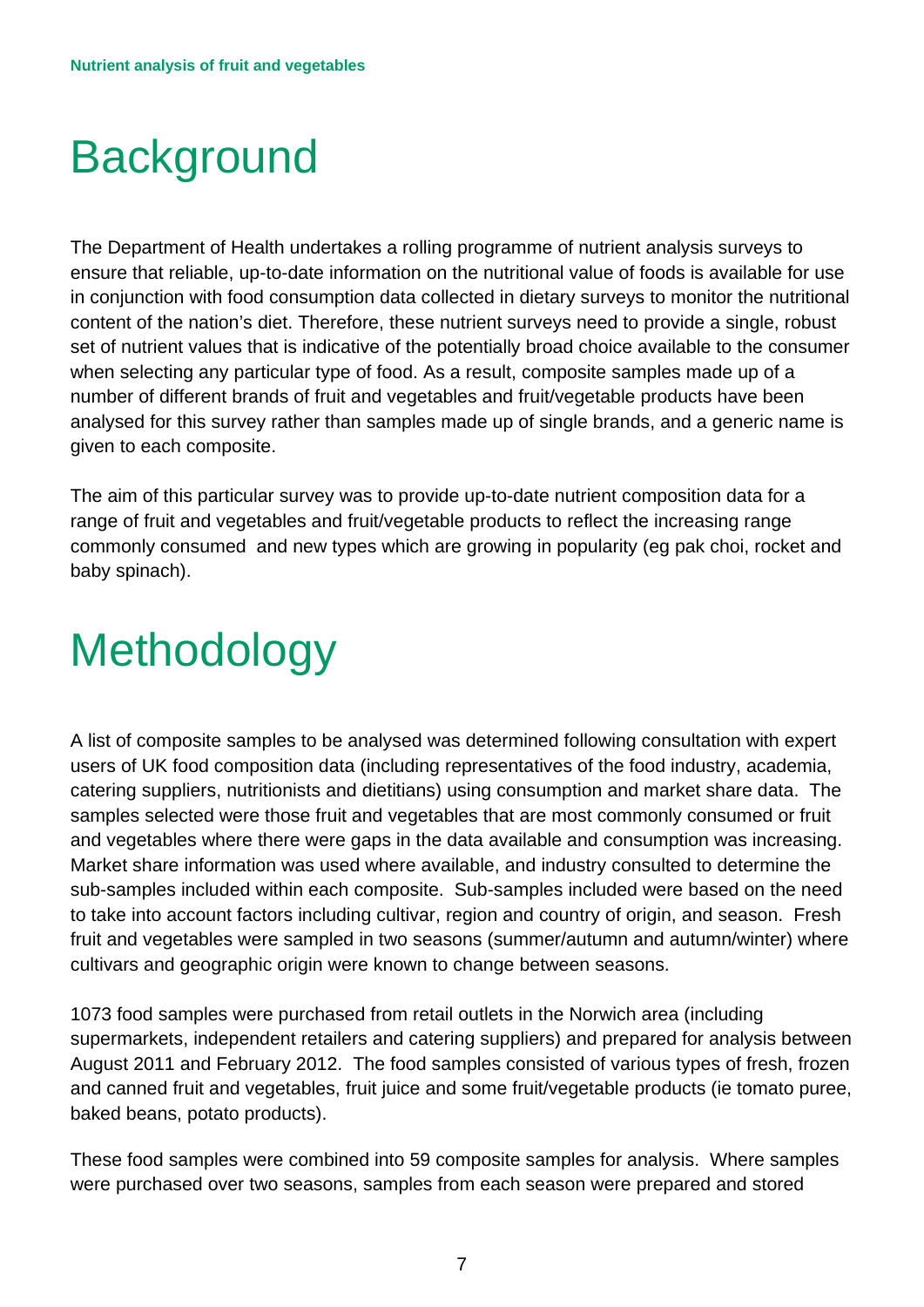# <span id="page-6-0"></span>**Background**

The Department of Health undertakes a rolling programme of nutrient analysis surveys to ensure that reliable, up-to-date information on the nutritional value of foods is available for use in conjunction with food consumption data collected in dietary surveys to monitor the nutritional content of the nation's diet. Therefore, these nutrient surveys need to provide a single, robust set of nutrient values that is indicative of the potentially broad choice available to the consumer when selecting any particular type of food. As a result, composite samples made up of a number of different brands of fruit and vegetables and fruit/vegetable products have been analysed for this survey rather than samples made up of single brands, and a generic name is given to each composite.

The aim of this particular survey was to provide up-to-date nutrient composition data for a range of fruit and vegetables and fruit/vegetable products to reflect the increasing range commonly consumed and new types which are growing in popularity (eg pak choi, rocket and baby spinach).

# <span id="page-6-1"></span>**Methodology**

 samples selected were those fruit and vegetables that are most commonly consumed or fruit and vegetables where there were gaps in the data available and consumption was increasing. A list of composite samples to be analysed was determined following consultation with expert users of UK food composition data (including representatives of the food industry, academia, catering suppliers, nutritionists and dietitians) using consumption and market share data. The Market share information was used where available, and industry consulted to determine the sub-samples included within each composite. Sub-samples included were based on the need to take into account factors including cultivar, region and country of origin, and season. Fresh fruit and vegetables were sampled in two seasons (summer/autumn and autumn/winter) where cultivars and geographic origin were known to change between seasons.

1073 food samples were purchased from retail outlets in the Norwich area (including supermarkets, independent retailers and catering suppliers) and prepared for analysis between August 2011 and February 2012. The food samples consisted of various types of fresh, frozen and canned fruit and vegetables, fruit juice and some fruit/vegetable products (ie tomato puree, baked beans, potato products).

 These food samples were combined into 59 composite samples for analysis. Where samples were purchased over two seasons, samples from each season were prepared and stored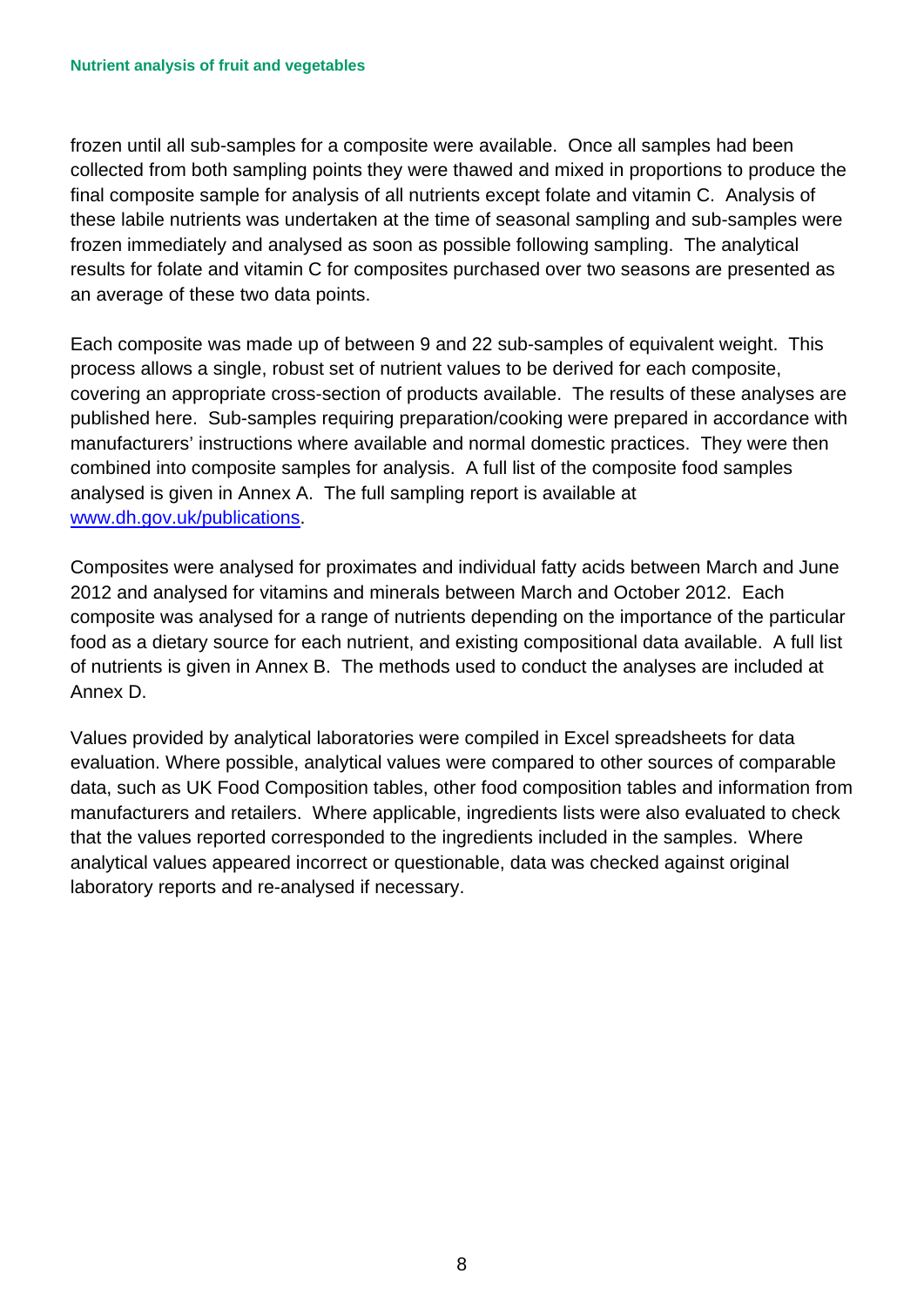final composite sample for analysis of all nutrients except folate and vitamin C. Analysis of an average of these two data points. frozen until all sub-samples for a composite were available. Once all samples had been collected from both sampling points they were thawed and mixed in proportions to produce the these labile nutrients was undertaken at the time of seasonal sampling and sub-samples were frozen immediately and analysed as soon as possible following sampling. The analytical results for folate and vitamin C for composites purchased over two seasons are presented as

an average of these two data points.<br>Each composite was made up of between 9 and 22 sub-samples of equivalent weight. This covering an appropriate cross-section of products available. The results of these analyses are published here. Sub-samples requiring preparation/cooking were prepared in accordance with combined into composite samples for analysis. A full list of the composite food samples process allows a single, robust set of nutrient values to be derived for each composite, manufacturers' instructions where available and normal domestic practices. They were then analysed is given in Annex A. The full sampling report is available at [www.dh.gov.uk/publications.](http://www.dh.gov.uk/publications)

 2012 and analysed for vitamins and minerals between March and October 2012. Each food as a dietary source for each nutrient, and existing compositional data available. A full list Composites were analysed for proximates and individual fatty acids between March and June composite was analysed for a range of nutrients depending on the importance of the particular of nutrients is given in Annex B. The methods used to conduct the analyses are included at Annex D.

 Values provided by analytical laboratories were compiled in Excel spreadsheets for data that the values reported corresponded to the ingredients included in the samples. Where laboratory reports and re-analysed if necessary. evaluation. Where possible, analytical values were compared to other sources of comparable data, such as UK Food Composition tables, other food composition tables and information from manufacturers and retailers. Where applicable, ingredients lists were also evaluated to check analytical values appeared incorrect or questionable, data was checked against original laboratory reports and re-analysed if necessary.<br>  $8$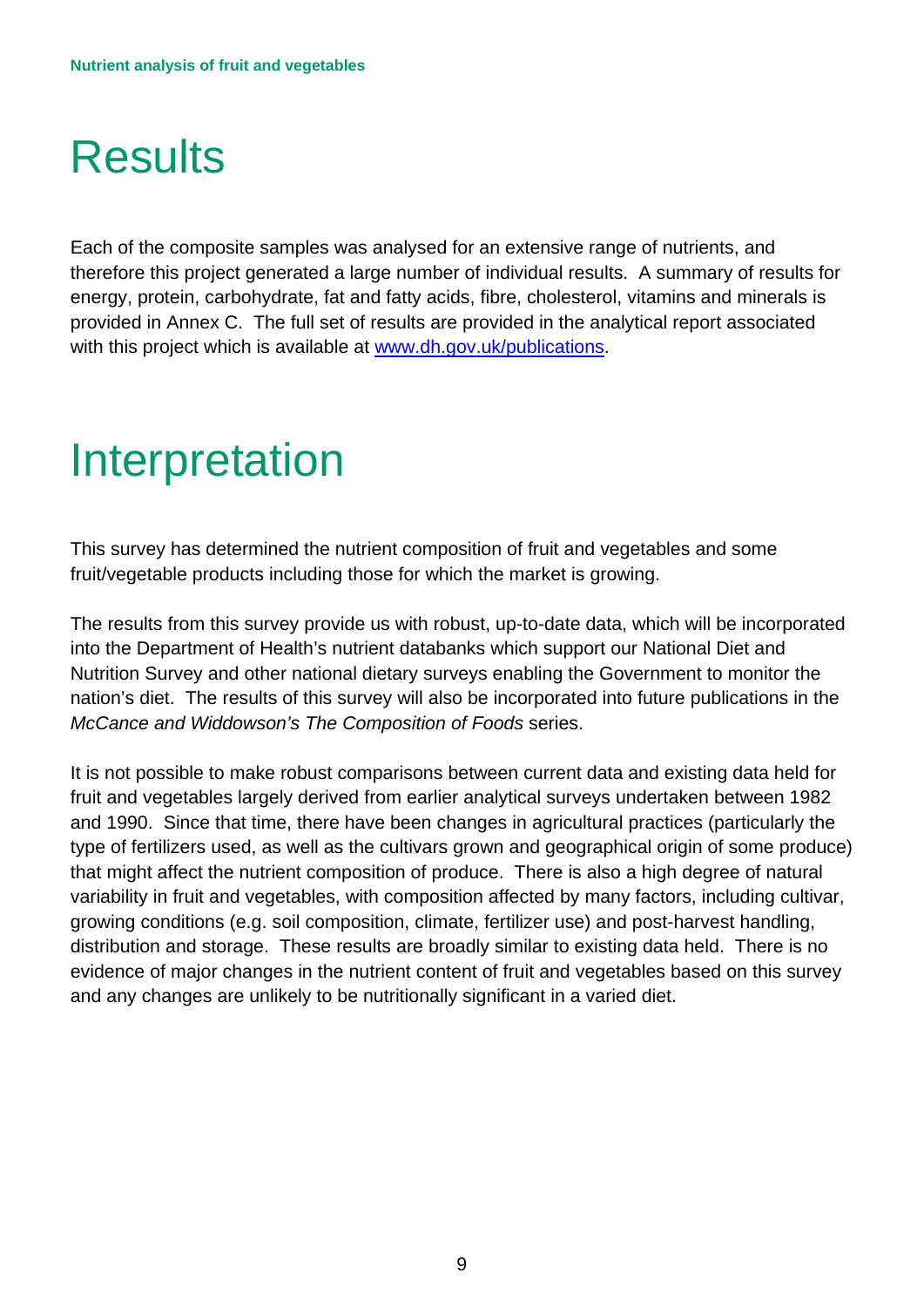## <span id="page-8-0"></span>**Results**

 provided in Annex C. The full set of results are provided in the analytical report associated with this project which is available at [www.dh.gov.uk/publications.](http://www.dh.gov.uk/publications) Each of the composite samples was analysed for an extensive range of nutrients, and therefore this project generated a large number of individual results. A summary of results for energy, protein, carbohydrate, fat and fatty acids, fibre, cholesterol, vitamins and minerals is

## <span id="page-8-1"></span>**Interpretation**

fruit/vegetable products including those for which the market is growing. This survey has determined the nutrient composition of fruit and vegetables and some

The results from this survey provide us with robust, up-to-date data, which will be incorporated into the Department of Health's nutrient databanks which support our National Diet and Nutrition Survey and other national dietary surveys enabling the Government to monitor the nation's diet. The results of this survey will also be incorporated into future publications in the *McCance and Widdowson's The Composition of Foods* series.

 that might affect the nutrient composition of produce. There is also a high degree of natural distribution and storage. These results are broadly similar to existing data held. There is no It is not possible to make robust comparisons between current data and existing data held for fruit and vegetables largely derived from earlier analytical surveys undertaken between 1982 and 1990. Since that time, there have been changes in agricultural practices (particularly the type of fertilizers used, as well as the cultivars grown and geographical origin of some produce) variability in fruit and vegetables, with composition affected by many factors, including cultivar, growing conditions (e.g. soil composition, climate, fertilizer use) and post-harvest handling, evidence of major changes in the nutrient content of fruit and vegetables based on this survey and any changes are unlikely to be nutritionally significant in a varied diet.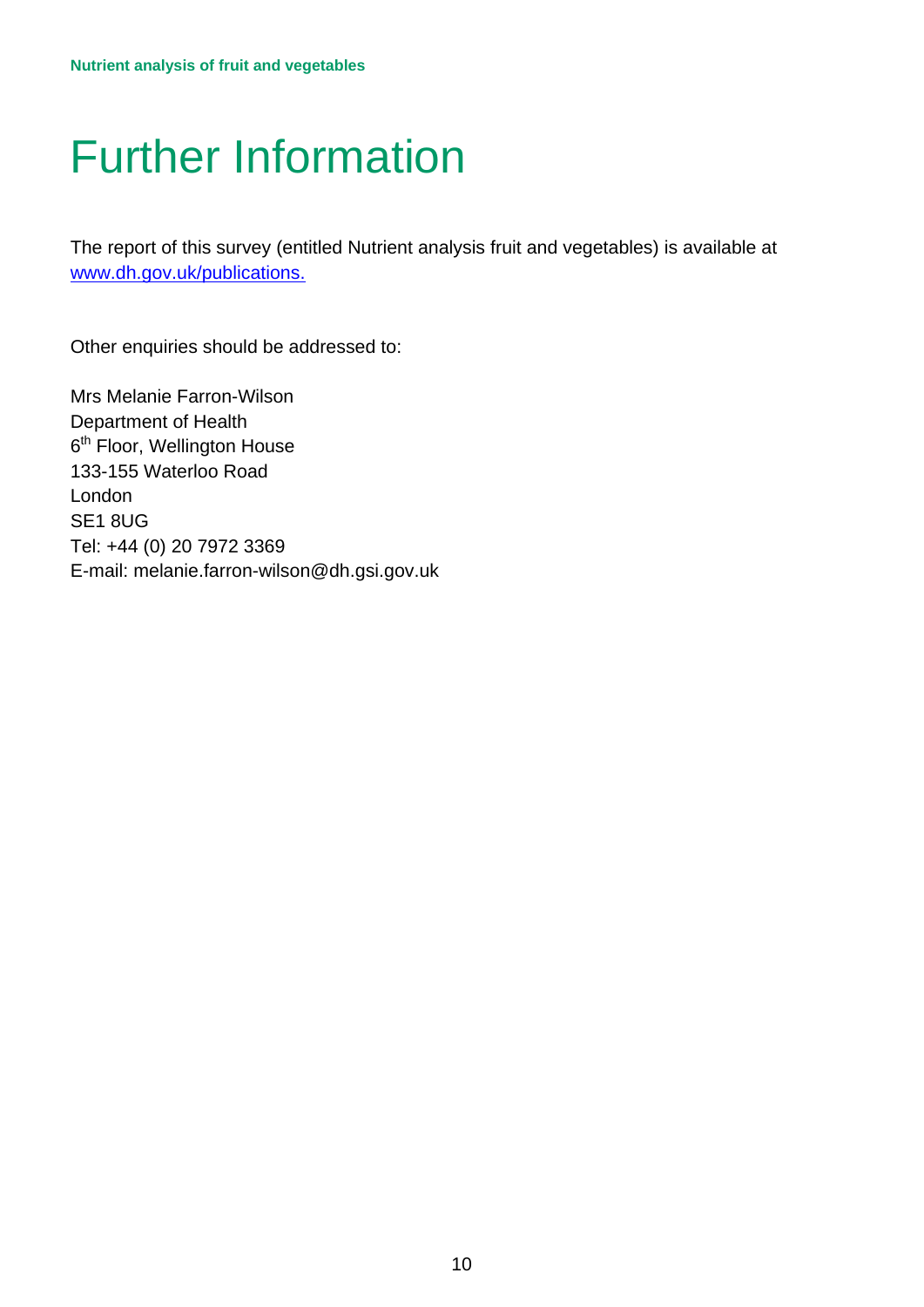# <span id="page-9-0"></span>Further Information

The report of this survey (entitled Nutrient analysis fruit and vegetables) is available at [www.dh.gov.uk/publications.](http://www.dh.gov.uk/publications)

Other enquiries should be addressed to:

E-mail: melanie.farron-wilson@dh.gsi.gov.uk Mrs Melanie Farron-Wilson Department of Health 6<sup>th</sup> Floor, Wellington House 133-155 Waterloo Road London SE1 8UG Tel: +44 (0) 20 7972 3369 E-mail: melanie.farron-wilson@dh.gsi.gov.uk 10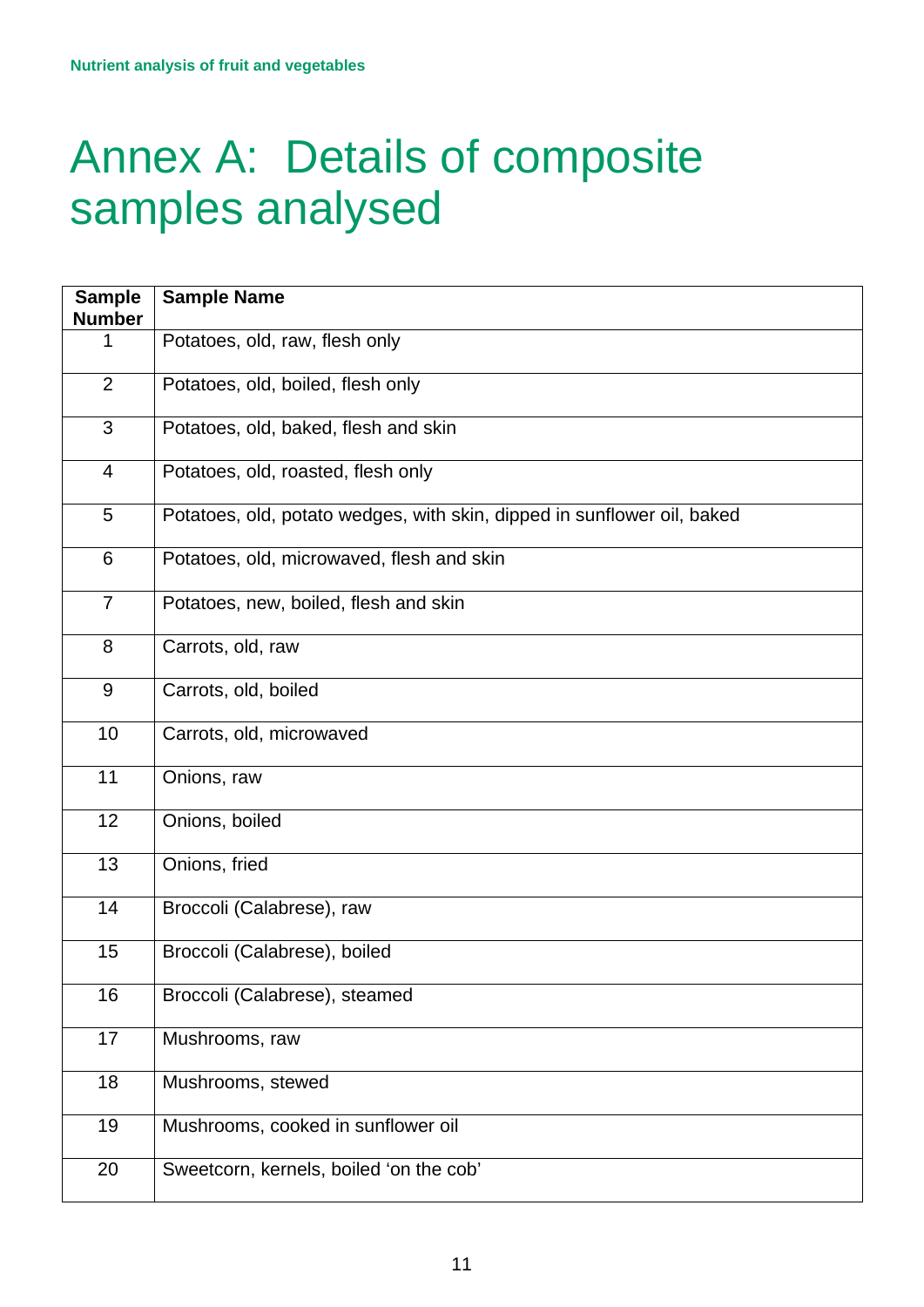## <span id="page-10-0"></span>Annex A: Details of composite samples analysed

| <b>Sample</b><br><b>Number</b> | <b>Sample Name</b>                                                      |
|--------------------------------|-------------------------------------------------------------------------|
| 1                              | Potatoes, old, raw, flesh only                                          |
| $\overline{2}$                 | Potatoes, old, boiled, flesh only                                       |
| 3                              | Potatoes, old, baked, flesh and skin                                    |
| $\overline{4}$                 | Potatoes, old, roasted, flesh only                                      |
| 5                              | Potatoes, old, potato wedges, with skin, dipped in sunflower oil, baked |
| 6                              | Potatoes, old, microwaved, flesh and skin                               |
| $\overline{7}$                 | Potatoes, new, boiled, flesh and skin                                   |
| 8                              | Carrots, old, raw                                                       |
| 9                              | Carrots, old, boiled                                                    |
| 10                             | Carrots, old, microwaved                                                |
| 11                             | Onions, raw                                                             |
| 12                             | Onions, boiled                                                          |
| 13                             | Onions, fried                                                           |
| 14                             | Broccoli (Calabrese), raw                                               |
| 15                             | Broccoli (Calabrese), boiled                                            |
| 16                             | Broccoli (Calabrese), steamed                                           |
| 17                             | Mushrooms, raw                                                          |
| 18                             | Mushrooms, stewed                                                       |
| 19                             | Mushrooms, cooked in sunflower oil                                      |
| 20                             | Sweetcorn, kernels, boiled 'on the cob'                                 |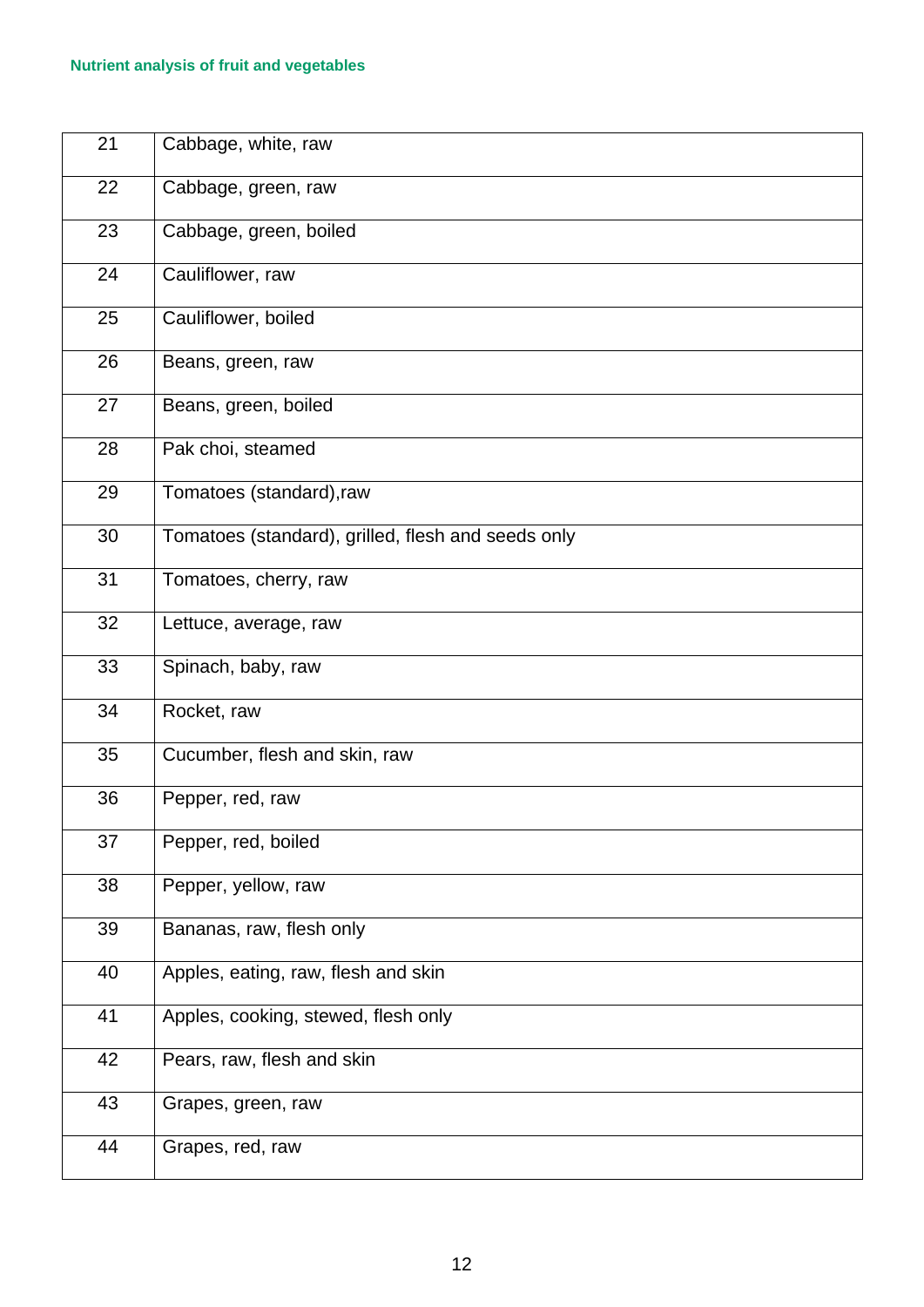| 21 | Cabbage, white, raw                                |
|----|----------------------------------------------------|
| 22 | Cabbage, green, raw                                |
| 23 | Cabbage, green, boiled                             |
| 24 | Cauliflower, raw                                   |
| 25 | Cauliflower, boiled                                |
| 26 | Beans, green, raw                                  |
| 27 | Beans, green, boiled                               |
| 28 | Pak choi, steamed                                  |
| 29 | Tomatoes (standard), raw                           |
| 30 | Tomatoes (standard), grilled, flesh and seeds only |
| 31 | Tomatoes, cherry, raw                              |
| 32 | Lettuce, average, raw                              |
| 33 | Spinach, baby, raw                                 |
| 34 | Rocket, raw                                        |
| 35 | Cucumber, flesh and skin, raw                      |
| 36 | Pepper, red, raw                                   |
| 37 | Pepper, red, boiled                                |
| 38 | Pepper, yellow, raw                                |
| 39 | Bananas, raw, flesh only                           |
| 40 | Apples, eating, raw, flesh and skin                |
| 41 | Apples, cooking, stewed, flesh only                |
| 42 | Pears, raw, flesh and skin                         |
| 43 | Grapes, green, raw                                 |
| 44 | Grapes, red, raw                                   |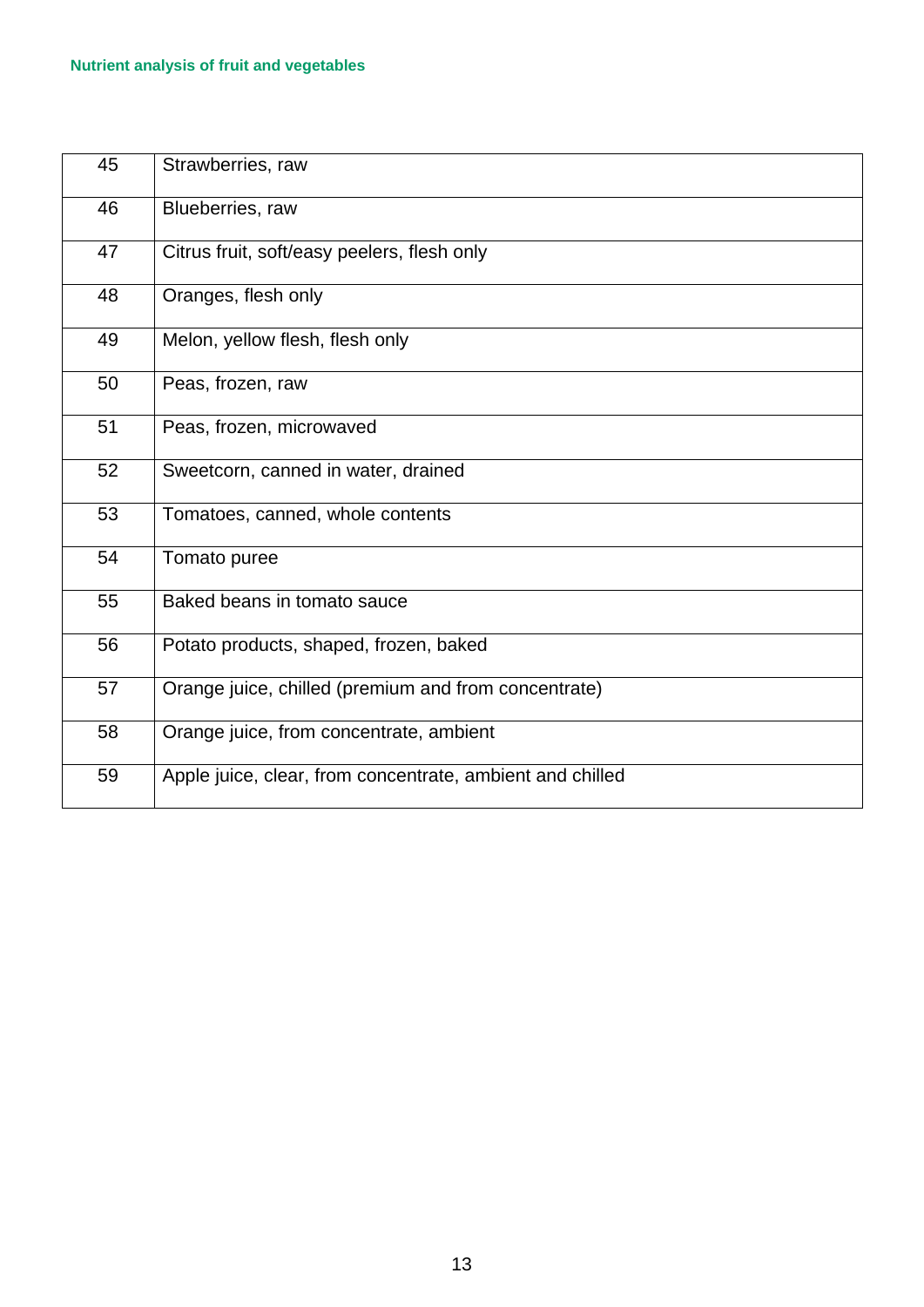| 45 | Strawberries, raw                                         |
|----|-----------------------------------------------------------|
| 46 | Blueberries, raw                                          |
| 47 | Citrus fruit, soft/easy peelers, flesh only               |
| 48 | Oranges, flesh only                                       |
| 49 | Melon, yellow flesh, flesh only                           |
| 50 | Peas, frozen, raw                                         |
| 51 | Peas, frozen, microwaved                                  |
| 52 | Sweetcorn, canned in water, drained                       |
| 53 | Tomatoes, canned, whole contents                          |
| 54 | Tomato puree                                              |
| 55 | Baked beans in tomato sauce                               |
| 56 | Potato products, shaped, frozen, baked                    |
| 57 | Orange juice, chilled (premium and from concentrate)      |
| 58 | Orange juice, from concentrate, ambient                   |
| 59 | Apple juice, clear, from concentrate, ambient and chilled |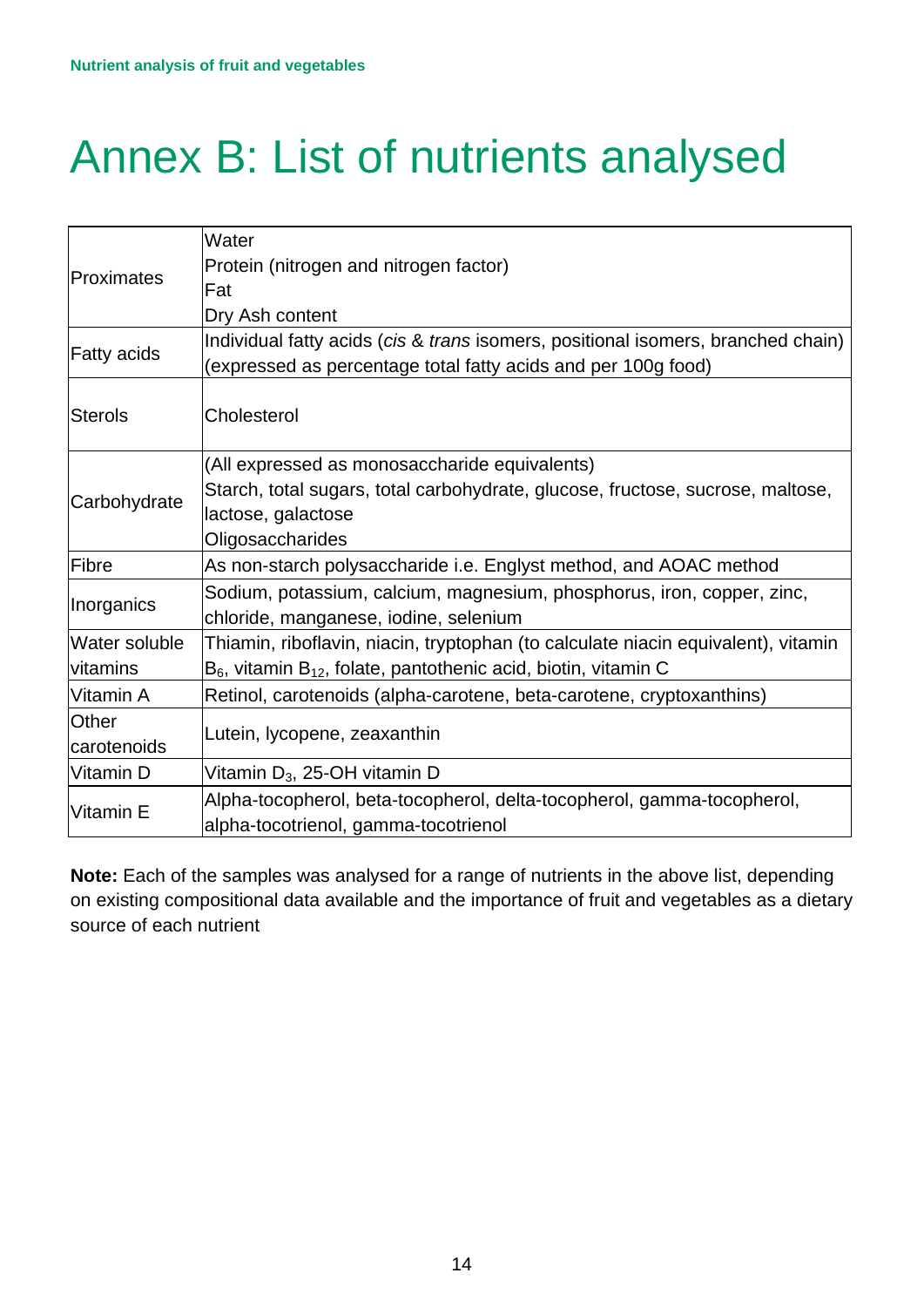# <span id="page-13-0"></span>Annex B: List of nutrients analysed

|                    | Water                                                                             |
|--------------------|-----------------------------------------------------------------------------------|
| Proximates         | Protein (nitrogen and nitrogen factor)                                            |
|                    | Fat                                                                               |
|                    | Dry Ash content                                                                   |
| <b>Fatty acids</b> | Individual fatty acids (cis & trans isomers, positional isomers, branched chain)  |
|                    | (expressed as percentage total fatty acids and per 100g food)                     |
|                    |                                                                                   |
| <b>Sterols</b>     | Cholesterol                                                                       |
|                    | (All expressed as monosaccharide equivalents)                                     |
|                    | Starch, total sugars, total carbohydrate, glucose, fructose, sucrose, maltose,    |
| Carbohydrate       | lactose, galactose                                                                |
|                    | Oligosaccharides                                                                  |
| Fibre              | As non-starch polysaccharide i.e. Englyst method, and AOAC method                 |
| Inorganics         | Sodium, potassium, calcium, magnesium, phosphorus, iron, copper, zinc,            |
|                    | chloride, manganese, iodine, selenium                                             |
| Water soluble      | Thiamin, riboflavin, niacin, tryptophan (to calculate niacin equivalent), vitamin |
| vitamins           | $B_6$ , vitamin $B_{12}$ , folate, pantothenic acid, biotin, vitamin C            |
| Vitamin A          | Retinol, carotenoids (alpha-carotene, beta-carotene, cryptoxanthins)              |
| <b>Other</b>       |                                                                                   |
| carotenoids        | Lutein, lycopene, zeaxanthin                                                      |
| Vitamin D          | Vitamin $D_3$ , 25-OH vitamin D                                                   |
| Vitamin E          | Alpha-tocopherol, beta-tocopherol, delta-tocopherol, gamma-tocopherol,            |
|                    | alpha-tocotrienol, gamma-tocotrienol                                              |

**Note:** Each of the samples was analysed for a range of nutrients in the above list, depending on existing compositional data available and the importance of fruit and vegetables as a dietary source of each nutrient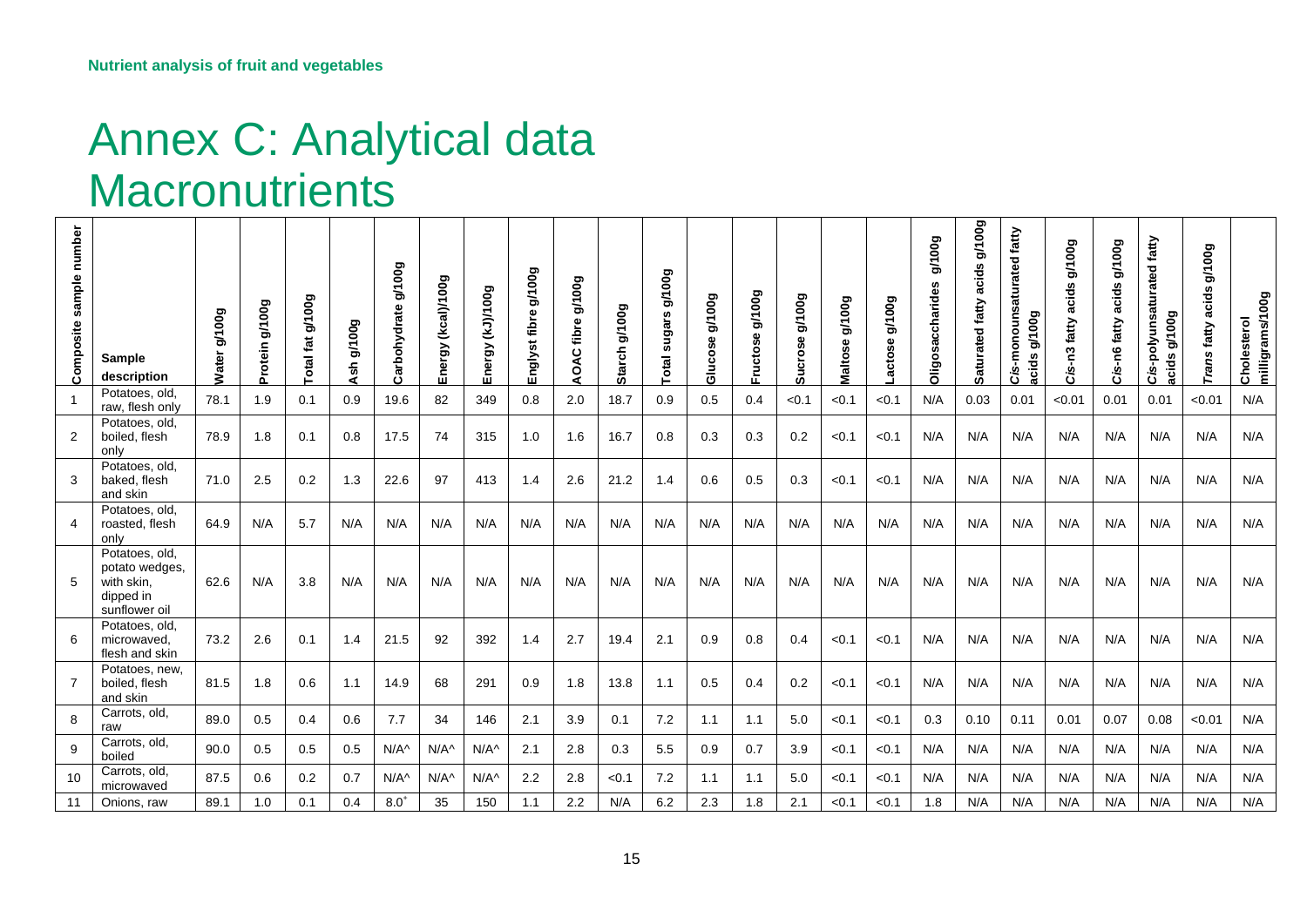## Annex C: Analytical data **Macronutrients**

<span id="page-14-1"></span><span id="page-14-0"></span>

| sample number<br>Composite | Sample<br>description                                                        | g/100g<br><b>Water</b> | g/100g<br>Protein | fat g/100g<br>otal | g/100g<br>Ash | g/100g<br>Carbohydrate | (kcal)/100g<br>Energy | <b>GOOL/(CY)</b><br>Energy | g/100g<br>Englyst fibre | g/100g<br>fibre<br>OAC | g/100g<br><b>Starch</b> | g/100g<br>ဖာ<br>sugar:<br>otal | g/100g<br>Glucose | $_{\rm gg}$<br>$\bar{e}$<br>\$e<br><b>Fructos</b> | g/100g<br>crose<br>ທົ | <b>600 VB</b><br>Maltose | g/100g<br><b>ctose</b> | g/100g<br>accharid<br>Oligosa | <b>600L/6</b><br>acids<br>Saturated fatty | fatty<br>ated<br>ouns<br>g/100g<br>acids<br>ة | g/100g<br>acids<br>s-n3 fatty<br>ة | g/100g<br>acids<br>n6 fatty<br>Cis- | fatty<br>Cis-polyunsaturated<br>g/100g<br>acids | g/100g<br>acids<br>fatty<br>Trans | milligrams/100g<br>Cholesterol |
|----------------------------|------------------------------------------------------------------------------|------------------------|-------------------|--------------------|---------------|------------------------|-----------------------|----------------------------|-------------------------|------------------------|-------------------------|--------------------------------|-------------------|---------------------------------------------------|-----------------------|--------------------------|------------------------|-------------------------------|-------------------------------------------|-----------------------------------------------|------------------------------------|-------------------------------------|-------------------------------------------------|-----------------------------------|--------------------------------|
|                            | Potatoes, old,<br>raw, flesh only                                            | 78.1                   | 1.9               | 0.1                | 0.9           | 19.6                   | 82                    | 349                        | 0.8                     | 2.0                    | 18.7                    | 0.9                            | 0.5               | 0.4                                               | < 0.1                 | < 0.1                    | < 0.1                  | N/A                           | 0.03                                      | 0.01                                          | < 0.01                             | 0.01                                | 0.01                                            | < 0.01                            | N/A                            |
| $\overline{2}$             | Potatoes, old,<br>boiled, flesh<br>only                                      | 78.9                   | 1.8               | 0.1                | 0.8           | 17.5                   | 74                    | 315                        | 1.0                     | 1.6                    | 16.7                    | 0.8                            | 0.3               | 0.3                                               | 0.2                   | < 0.1                    | < 0.1                  | N/A                           | N/A                                       | N/A                                           | N/A                                | N/A                                 | N/A                                             | N/A                               | N/A                            |
| 3                          | Potatoes, old,<br>baked, flesh<br>and skin                                   | 71.0                   | 2.5               | 0.2                | 1.3           | 22.6                   | 97                    | 413                        | 1.4                     | 2.6                    | 21.2                    | 1.4                            | 0.6               | 0.5                                               | 0.3                   | < 0.1                    | < 0.1                  | N/A                           | N/A                                       | N/A                                           | N/A                                | N/A                                 | N/A                                             | N/A                               | N/A                            |
| 4                          | Potatoes, old,<br>roasted, flesh<br>only                                     | 64.9                   | N/A               | 5.7                | N/A           | N/A                    | N/A                   | N/A                        | N/A                     | N/A                    | N/A                     | N/A                            | N/A               | N/A                                               | N/A                   | N/A                      | N/A                    | N/A                           | N/A                                       | N/A                                           | N/A                                | N/A                                 | N/A                                             | N/A                               | N/A                            |
| 5                          | Potatoes, old.<br>potato wedges,<br>with skin,<br>dipped in<br>sunflower oil | 62.6                   | N/A               | 3.8                | N/A           | N/A                    | N/A                   | N/A                        | N/A                     | N/A                    | N/A                     | N/A                            | N/A               | N/A                                               | N/A                   | N/A                      | N/A                    | N/A                           | N/A                                       | N/A                                           | N/A                                | N/A                                 | N/A                                             | N/A                               | N/A                            |
| 6                          | Potatoes, old,<br>microwaved,<br>flesh and skin                              | 73.2                   | 2.6               | 0.1                | 1.4           | 21.5                   | 92                    | 392                        | 1.4                     | 2.7                    | 19.4                    | 2.1                            | 0.9               | 0.8                                               | 0.4                   | < 0.1                    | < 0.1                  | N/A                           | N/A                                       | N/A                                           | N/A                                | N/A                                 | N/A                                             | N/A                               | N/A                            |
|                            | Potatoes, new,<br>boiled, flesh<br>and skin                                  | 81.5                   | 1.8               | 0.6                | 1.1           | 14.9                   | 68                    | 291                        | 0.9                     | 1.8                    | 13.8                    | 1.1                            | 0.5               | 0.4                                               | 0.2                   | < 0.1                    | < 0.1                  | N/A                           | N/A                                       | N/A                                           | N/A                                | N/A                                 | N/A                                             | N/A                               | N/A                            |
| 8                          | Carrots, old,<br>raw                                                         | 89.0                   | 0.5               | 0.4                | 0.6           | 7.7                    | 34                    | 146                        | 2.1                     | 3.9                    | 0.1                     | 7.2                            | 1.1               | 1.1                                               | 5.0                   | < 0.1                    | < 0.1                  | 0.3                           | 0.10                                      | 0.11                                          | 0.01                               | 0.07                                | 0.08                                            | < 0.01                            | N/A                            |
| 9                          | Carrots, old,<br>boiled                                                      | 90.0                   | 0.5               | 0.5                | 0.5           | $N/A^{\wedge}$         | $N/A^$                | $N/A^{\wedge}$             | 2.1                     | 2.8                    | 0.3                     | 5.5                            | 0.9               | 0.7                                               | 3.9                   | < 0.1                    | < 0.1                  | N/A                           | N/A                                       | N/A                                           | N/A                                | N/A                                 | N/A                                             | N/A                               | N/A                            |
| 10                         | Carrots, old,<br>microwaved                                                  | 87.5                   | 0.6               | 0.2                | 0.7           | $N/A^{\wedge}$         | $N/A^{\wedge}$        | $N/A^{\wedge}$             | 2.2                     | 2.8                    | < 0.1                   | 7.2                            | 1.1               | 1.1                                               | 5.0                   | < 0.1                    | < 0.1                  | N/A                           | N/A                                       | N/A                                           | N/A                                | N/A                                 | N/A                                             | N/A                               | N/A                            |
| 11                         | Onions, raw                                                                  | 89.1                   | 1.0               | 0.1                | 0.4           | $8.0^{+}$              | 35                    | 150                        | 1.1                     | 2.2                    | N/A                     | 6.2                            | 2.3               | 1.8                                               | 2.1                   | < 0.1                    | < 0.1                  | 1.8                           | N/A                                       | N/A                                           | N/A                                | N/A                                 | N/A                                             | N/A                               | N/A                            |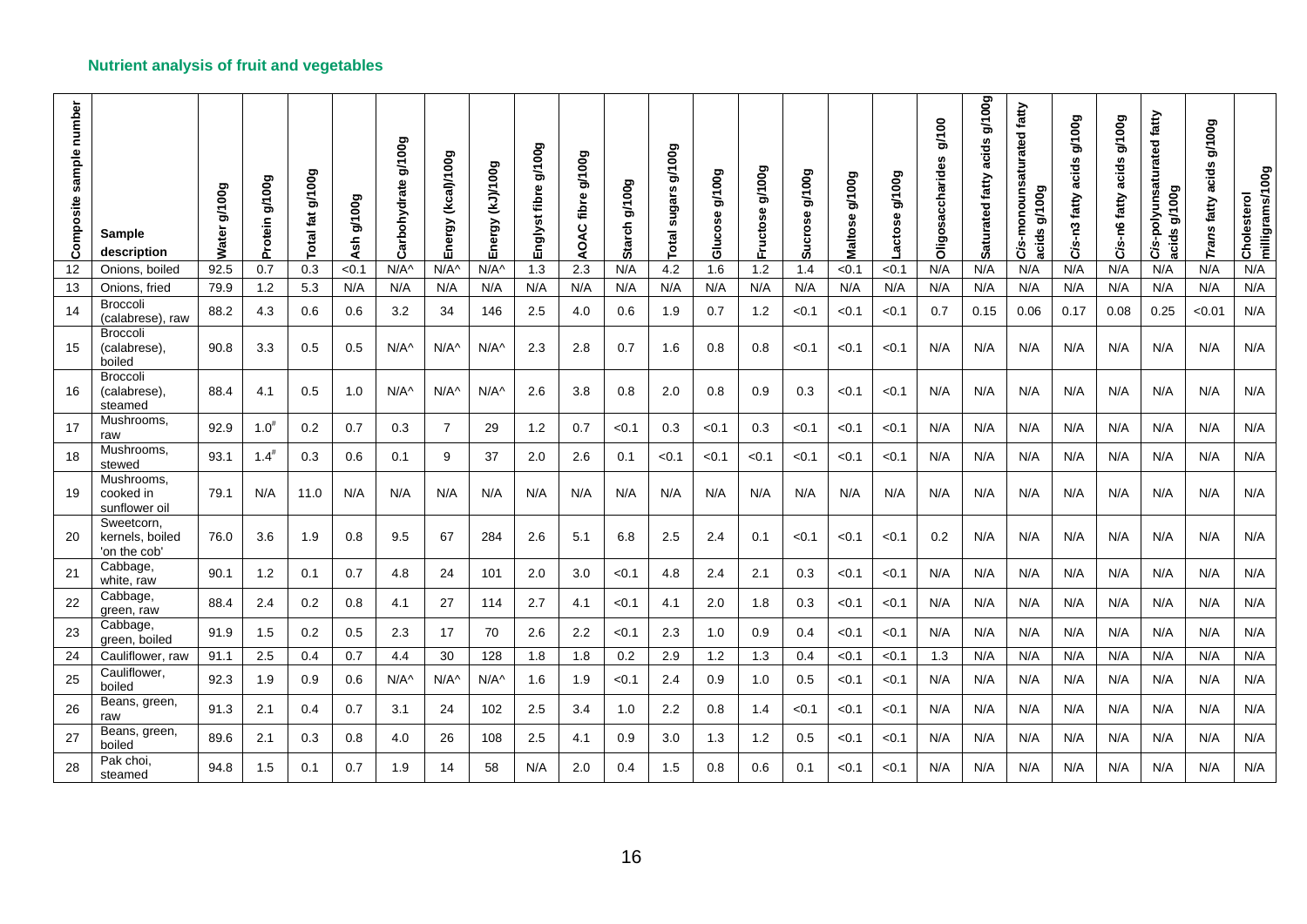| number<br>sample<br>Composite | <b>Sample</b><br>description                 | g/100g<br>Water | g/100g<br>Protein | g/100g<br>otal fat | g/100g<br>Ash | g/100g<br>Carbohydrate | Energy (kcal)/100g | <b>GOOL/(CY)</b><br>Energy | g/100g<br>fibre<br>Englyst | <b>600L/6</b><br>fibre<br>AOAC | g/100g<br><b>Starch</b> | 00g<br>Š<br><b>SC</b><br>sugar<br>otal | g/100g<br>Glucose | g/100g<br>Fructose | g/100g<br>Sucrose | g/100g<br>Φ<br>Maltos | g/100g<br>actose | g/100<br><b>Oligosaccharides</b> | g/100g<br>acids<br>Saturated fatty | aturated fatty<br>Cis-monouns<br><b>GNOO</b><br>acids | g/100g<br>acids<br>fatty<br>Cis-n3 | g/100g<br>acids<br>fatty<br>Cis-n6 | Cis-polyunsaturated fatty<br>g/100g<br>acids | <b>600k6</b><br>cids<br>Ō<br>fatty<br>Σu<br>Гrа | Cholesterol<br>milligrams/100g |
|-------------------------------|----------------------------------------------|-----------------|-------------------|--------------------|---------------|------------------------|--------------------|----------------------------|----------------------------|--------------------------------|-------------------------|----------------------------------------|-------------------|--------------------|-------------------|-----------------------|------------------|----------------------------------|------------------------------------|-------------------------------------------------------|------------------------------------|------------------------------------|----------------------------------------------|-------------------------------------------------|--------------------------------|
| 12                            | Onions, boiled                               | 92.5            | 0.7               | 0.3                | < 0.1         | $N/A^{\wedge}$         | $N/A^{\wedge}$     | $N/A^{\wedge}$             | 1.3                        | 2.3                            | N/A                     | 4.2                                    | 1.6               | 1.2                | 1.4               | < 0.1                 | < 0.1            | N/A                              | N/A                                | N/A                                                   | N/A                                | N/A                                | N/A                                          | N/A                                             | N/A                            |
| 13                            | Onions, fried                                | 79.9            | 1.2               | 5.3                | N/A           | N/A                    | N/A                | N/A                        | N/A                        | N/A                            | N/A                     | N/A                                    | N/A               | N/A                | N/A               | N/A                   | N/A              | N/A                              | N/A                                | N/A                                                   | N/A                                | N/A                                | N/A                                          | N/A                                             | N/A                            |
| 14                            | <b>Broccoli</b><br>(calabrese), raw          | 88.2            | 4.3               | 0.6                | 0.6           | 3.2                    | 34                 | 146                        | 2.5                        | 4.0                            | 0.6                     | 1.9                                    | 0.7               | 1.2                | < 0.1             | < 0.1                 | < 0.1            | 0.7                              | 0.15                               | 0.06                                                  | 0.17                               | 0.08                               | 0.25                                         | < 0.01                                          | N/A                            |
| 15                            | <b>Broccoli</b><br>(calabrese),<br>boiled    | 90.8            | 3.3               | 0.5                | 0.5           | $N/A^{\wedge}$         | $N/A^$             | $N/A^$                     | 2.3                        | 2.8                            | 0.7                     | 1.6                                    | 0.8               | 0.8                | < 0.1             | < 0.1                 | < 0.1            | N/A                              | N/A                                | N/A                                                   | N/A                                | N/A                                | N/A                                          | N/A                                             | N/A                            |
| 16                            | <b>Broccoli</b><br>(calabrese),<br>steamed   | 88.4            | 4.1               | 0.5                | 1.0           | $N/A^{\wedge}$         | $N/A^{\wedge}$     | $N/A^{\wedge}$             | 2.6                        | 3.8                            | 0.8                     | 2.0                                    | 0.8               | 0.9                | 0.3               | < 0.1                 | < 0.1            | N/A                              | N/A                                | N/A                                                   | N/A                                | N/A                                | N/A                                          | N/A                                             | N/A                            |
| 17                            | Mushrooms,<br>raw                            | 92.9            | $1.0^{#}$         | 0.2                | 0.7           | 0.3                    | $\overline{7}$     | 29                         | 1.2                        | 0.7                            | < 0.1                   | 0.3                                    | < 0.1             | 0.3                | < 0.1             | < 0.1                 | < 0.1            | N/A                              | N/A                                | N/A                                                   | N/A                                | N/A                                | N/A                                          | N/A                                             | N/A                            |
| 18                            | Mushrooms,<br>stewed                         | 93.1            | $1.4^{#}$         | 0.3                | 0.6           | 0.1                    | 9                  | 37                         | 2.0                        | 2.6                            | 0.1                     | < 0.1                                  | < 0.1             | <0.1               | < 0.1             | < 0.1                 | < 0.1            | N/A                              | N/A                                | N/A                                                   | N/A                                | N/A                                | N/A                                          | N/A                                             | N/A                            |
| 19                            | Mushrooms,<br>cooked in<br>sunflower oil     | 79.1            | N/A               | 11.0               | N/A           | N/A                    | N/A                | N/A                        | N/A                        | N/A                            | N/A                     | N/A                                    | N/A               | N/A                | N/A               | N/A                   | N/A              | N/A                              | N/A                                | N/A                                                   | N/A                                | N/A                                | N/A                                          | N/A                                             | N/A                            |
| 20                            | Sweetcorn,<br>kernels, boiled<br>'on the cob | 76.0            | 3.6               | 1.9                | 0.8           | 9.5                    | 67                 | 284                        | 2.6                        | 5.1                            | 6.8                     | 2.5                                    | 2.4               | 0.1                | < 0.1             | < 0.1                 | < 0.1            | 0.2                              | N/A                                | N/A                                                   | N/A                                | N/A                                | N/A                                          | N/A                                             | N/A                            |
| 21                            | Cabbage,<br>white, raw                       | 90.1            | 1.2               | 0.1                | 0.7           | 4.8                    | 24                 | 101                        | 2.0                        | 3.0                            | < 0.1                   | 4.8                                    | 2.4               | 2.1                | 0.3               | < 0.1                 | < 0.1            | N/A                              | N/A                                | N/A                                                   | N/A                                | N/A                                | N/A                                          | N/A                                             | N/A                            |
| 22                            | Cabbage,<br>green, raw                       | 88.4            | 2.4               | 0.2                | 0.8           | 4.1                    | 27                 | 114                        | 2.7                        | 4.1                            | < 0.1                   | 4.1                                    | 2.0               | 1.8                | 0.3               | < 0.1                 | < 0.1            | N/A                              | N/A                                | N/A                                                   | N/A                                | N/A                                | N/A                                          | N/A                                             | N/A                            |
| 23                            | Cabbage,<br>green, boiled                    | 91.9            | 1.5               | 0.2                | 0.5           | 2.3                    | 17                 | 70                         | 2.6                        | 2.2                            | < 0.1                   | 2.3                                    | 1.0               | 0.9                | 0.4               | < 0.1                 | < 0.1            | N/A                              | N/A                                | N/A                                                   | N/A                                | N/A                                | N/A                                          | N/A                                             | N/A                            |
| 24                            | Cauliflower, raw                             | 91.1            | 2.5               | 0.4                | 0.7           | 4.4                    | 30                 | 128                        | 1.8                        | 1.8                            | 0.2                     | 2.9                                    | 1.2               | 1.3                | 0.4               | < 0.1                 | < 0.1            | 1.3                              | N/A                                | N/A                                                   | N/A                                | N/A                                | N/A                                          | N/A                                             | N/A                            |
| 25                            | Cauliflower,<br>boiled                       | 92.3            | 1.9               | 0.9                | 0.6           | $N/A^{\wedge}$         | $N/A^{\wedge}$     | $N/A^$                     | 1.6                        | 1.9                            | < 0.1                   | 2.4                                    | 0.9               | 1.0                | 0.5               | < 0.1                 | < 0.1            | N/A                              | N/A                                | N/A                                                   | N/A                                | N/A                                | N/A                                          | N/A                                             | N/A                            |
| 26                            | Beans, green,<br>raw                         | 91.3            | 2.1               | 0.4                | 0.7           | 3.1                    | 24                 | 102                        | 2.5                        | 3.4                            | 1.0                     | 2.2                                    | 0.8               | 1.4                | < 0.1             | < 0.1                 | < 0.1            | N/A                              | N/A                                | N/A                                                   | N/A                                | N/A                                | N/A                                          | N/A                                             | N/A                            |
| 27                            | Beans, green,<br>boiled                      | 89.6            | 2.1               | 0.3                | 0.8           | 4.0                    | 26                 | 108                        | 2.5                        | 4.1                            | 0.9                     | 3.0                                    | 1.3               | 1.2                | 0.5               | < 0.1                 | < 0.1            | N/A                              | N/A                                | N/A                                                   | N/A                                | N/A                                | N/A                                          | N/A                                             | N/A                            |
| 28                            | Pak choi,<br>steamed                         | 94.8            | 1.5               | 0.1                | 0.7           | 1.9                    | 14                 | 58                         | N/A                        | 2.0                            | 0.4                     | 1.5                                    | 0.8               | 0.6                | 0.1               | < 0.1                 | < 0.1            | N/A                              | N/A                                | N/A                                                   | N/A                                | N/A                                | N/A                                          | N/A                                             | N/A                            |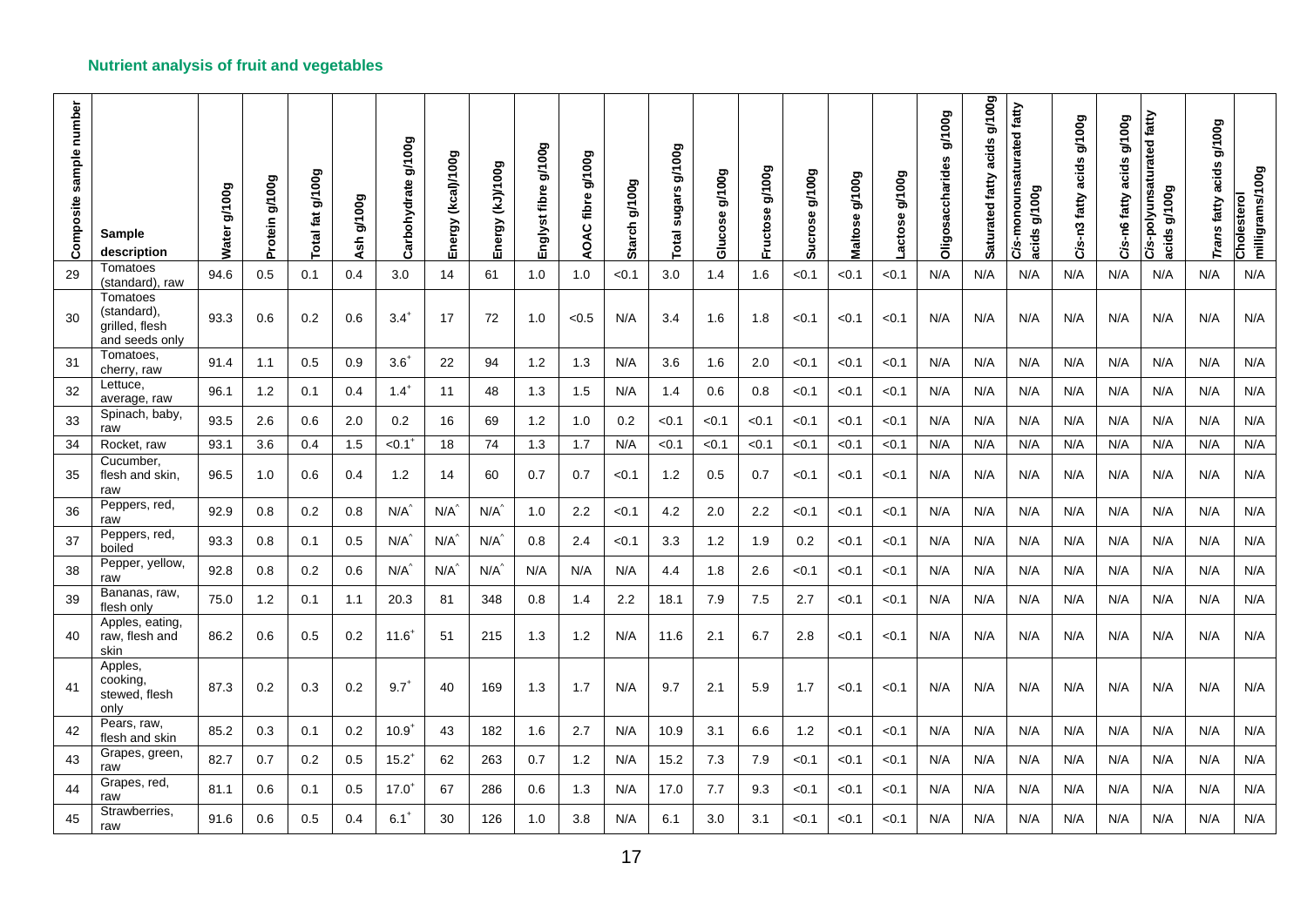| Composite sample number | <b>Sample</b><br>description                                | Water g/100g | Protein g/100g | Total fat g/100g | g/100g<br><b>Ash</b> | g/100g<br>Carbohydrate | Energy (kcal)/100g | Energy (kJ)/100g | g/100g<br>Englyst fibre | g/100g<br>AOAC fibre | g/100g<br>Starch | Total sugars g/100g | <b>600L/6</b><br>Glucose | <b>600 l/6</b><br>Fructose | g/100g<br>Sucrose | g/100g<br>Maltose | g/100g<br>actose. | g/100g<br>Oligosaccharides | acids g/100g<br>Saturated fatty | Cis-monounsaturated fatty<br>acids g/100g | g/100g<br>acids<br>Cis-n3 fatty | Cis-n6 fatty acids g/100g | Cis-polyunsaturated fatty<br>g/100g<br>acids | <b>600L/6</b><br>acids<br>Trans fatty | milligrams/100g<br>Cholesterol |
|-------------------------|-------------------------------------------------------------|--------------|----------------|------------------|----------------------|------------------------|--------------------|------------------|-------------------------|----------------------|------------------|---------------------|--------------------------|----------------------------|-------------------|-------------------|-------------------|----------------------------|---------------------------------|-------------------------------------------|---------------------------------|---------------------------|----------------------------------------------|---------------------------------------|--------------------------------|
| 29                      | Tomatoes<br>(standard), raw                                 | 94.6         | 0.5            | 0.1              | 0.4                  | 3.0                    | 14                 | 61               | 1.0                     | 1.0                  | < 0.1            | 3.0                 | 1.4                      | 1.6                        | < 0.1             | < 0.1             | < 0.1             | N/A                        | N/A                             | N/A                                       | N/A                             | N/A                       | N/A                                          | N/A                                   | N/A                            |
| 30                      | Tomatoes<br>(standard),<br>grilled, flesh<br>and seeds only | 93.3         | 0.6            | 0.2              | 0.6                  | $3.4^{+}$              | 17                 | 72               | 1.0                     | < 0.5                | N/A              | 3.4                 | 1.6                      | 1.8                        | < 0.1             | < 0.1             | < 0.1             | N/A                        | N/A                             | N/A                                       | N/A                             | N/A                       | N/A                                          | N/A                                   | N/A                            |
| 31                      | Tomatoes,<br>cherry, raw                                    | 91.4         | 1.1            | 0.5              | 0.9                  | $3.6^{+}$              | 22                 | 94               | 1.2                     | 1.3                  | N/A              | 3.6                 | 1.6                      | 2.0                        | < 0.1             | < 0.1             | < 0.1             | N/A                        | N/A                             | N/A                                       | N/A                             | N/A                       | N/A                                          | N/A                                   | N/A                            |
| 32                      | Lettuce,<br>average, raw                                    | 96.1         | 1.2            | 0.1              | 0.4                  | $1.4^+$                | 11                 | 48               | 1.3                     | 1.5                  | N/A              | 1.4                 | 0.6                      | 0.8                        | < 0.1             | < 0.1             | < 0.1             | N/A                        | N/A                             | N/A                                       | N/A                             | N/A                       | N/A                                          | N/A                                   | N/A                            |
| 33                      | Spinach, baby,<br>raw                                       | 93.5         | 2.6            | 0.6              | 2.0                  | 0.2                    | 16                 | 69               | 1.2                     | 1.0                  | 0.2              | < 0.1               | < 0.1                    | < 0.1                      | < 0.1             | < 0.1             | < 0.1             | N/A                        | N/A                             | N/A                                       | N/A                             | N/A                       | N/A                                          | N/A                                   | N/A                            |
| 34                      | Rocket, raw                                                 | 93.1         | 3.6            | 0.4              | 1.5                  | $< 0.1$ <sup>+</sup>   | 18                 | 74               | 1.3                     | 1.7                  | N/A              | < 0.1               | < 0.1                    | < 0.1                      | < 0.1             | < 0.1             | < 0.1             | N/A                        | N/A                             | N/A                                       | N/A                             | N/A                       | N/A                                          | N/A                                   | N/A                            |
| 35                      | Cucumber,<br>flesh and skin,<br>raw                         | 96.5         | 1.0            | 0.6              | 0.4                  | 1.2                    | 14                 | 60               | 0.7                     | 0.7                  | < 0.1            | 1.2                 | 0.5                      | 0.7                        | < 0.1             | < 0.1             | < 0.1             | N/A                        | N/A                             | N/A                                       | N/A                             | N/A                       | N/A                                          | N/A                                   | N/A                            |
| 36                      | Peppers, red,<br>raw                                        | 92.9         | 0.8            | 0.2              | 0.8                  | $N/A^2$                | $N/A^2$            | $N/A^2$          | 1.0                     | 2.2                  | < 0.1            | 4.2                 | 2.0                      | 2.2                        | < 0.1             | < 0.1             | < 0.1             | N/A                        | N/A                             | N/A                                       | N/A                             | N/A                       | N/A                                          | N/A                                   | N/A                            |
| 37                      | Peppers, red,<br>boiled                                     | 93.3         | 0.8            | 0.1              | 0.5                  | $N/A^2$                | $N/A^2$            | $N/A^2$          | 0.8                     | 2.4                  | < 0.1            | 3.3                 | 1.2                      | 1.9                        | 0.2               | < 0.1             | < 0.1             | N/A                        | N/A                             | N/A                                       | N/A                             | N/A                       | N/A                                          | N/A                                   | N/A                            |
| 38                      | Pepper, yellow,<br>raw                                      | 92.8         | $0.8\,$        | 0.2              | 0.6                  | $N/A^2$                | $N/A^2$            | $N/A^2$          | N/A                     | N/A                  | N/A              | 4.4                 | 1.8                      | 2.6                        | < 0.1             | < 0.1             | < 0.1             | N/A                        | N/A                             | N/A                                       | N/A                             | N/A                       | N/A                                          | N/A                                   | N/A                            |
| 39                      | Bananas, raw,<br>flesh only                                 | 75.0         | 1.2            | 0.1              | 1.1                  | 20.3                   | 81                 | 348              | 0.8                     | 1.4                  | $2.2\phantom{0}$ | 18.1                | 7.9                      | 7.5                        | 2.7               | < 0.1             | < 0.1             | N/A                        | N/A                             | N/A                                       | N/A                             | N/A                       | N/A                                          | N/A                                   | N/A                            |
| 40                      | Apples, eating,<br>raw, flesh and<br>skin                   | 86.2         | 0.6            | 0.5              | 0.2                  | $11.6^{+}$             | 51                 | 215              | 1.3                     | 1.2                  | N/A              | 11.6                | 2.1                      | 6.7                        | 2.8               | < 0.1             | < 0.1             | N/A                        | N/A                             | N/A                                       | N/A                             | N/A                       | N/A                                          | N/A                                   | N/A                            |
| 41                      | Apples,<br>cooking,<br>stewed, flesh<br>only                | 87.3         | 0.2            | 0.3              | 0.2                  | $9.7^{+}$              | 40                 | 169              | 1.3                     | 1.7                  | N/A              | 9.7                 | 2.1                      | 5.9                        | 1.7               | < 0.1             | < 0.1             | N/A                        | N/A                             | N/A                                       | N/A                             | N/A                       | N/A                                          | N/A                                   | N/A                            |
| 42                      | Pears, raw,<br>flesh and skin                               | 85.2         | 0.3            | 0.1              | 0.2                  | $10.9^{+}$             | 43                 | 182              | 1.6                     | 2.7                  | N/A              | 10.9                | 3.1                      | 6.6                        | 1.2               | < 0.1             | < 0.1             | N/A                        | N/A                             | N/A                                       | N/A                             | N/A                       | N/A                                          | N/A                                   | N/A                            |
| 43                      | Grapes, green,<br>raw                                       | 82.7         | 0.7            | 0.2              | 0.5                  | $15.2^{+}$             | 62                 | 263              | 0.7                     | 1.2                  | N/A              | 15.2                | 7.3                      | 7.9                        | < 0.1             | < 0.1             | < 0.1             | N/A                        | N/A                             | N/A                                       | N/A                             | N/A                       | N/A                                          | N/A                                   | N/A                            |
| 44                      | Grapes, red,<br>raw                                         | 81.1         | 0.6            | 0.1              | 0.5                  | $17.0^{+}$             | 67                 | 286              | 0.6                     | 1.3                  | N/A              | 17.0                | 7.7                      | 9.3                        | < 0.1             | < 0.1             | < 0.1             | N/A                        | N/A                             | N/A                                       | N/A                             | N/A                       | N/A                                          | N/A                                   | N/A                            |
| 45                      | Strawberries,<br>raw                                        | 91.6         | 0.6            | 0.5              | 0.4                  | $6.1^{+}$              | 30                 | 126              | 1.0                     | 3.8                  | N/A              | 6.1                 | 3.0                      | 3.1                        | < 0.1             | < 0.1             | < 0.1             | N/A                        | N/A                             | N/A                                       | N/A                             | N/A                       | N/A                                          | N/A                                   | N/A                            |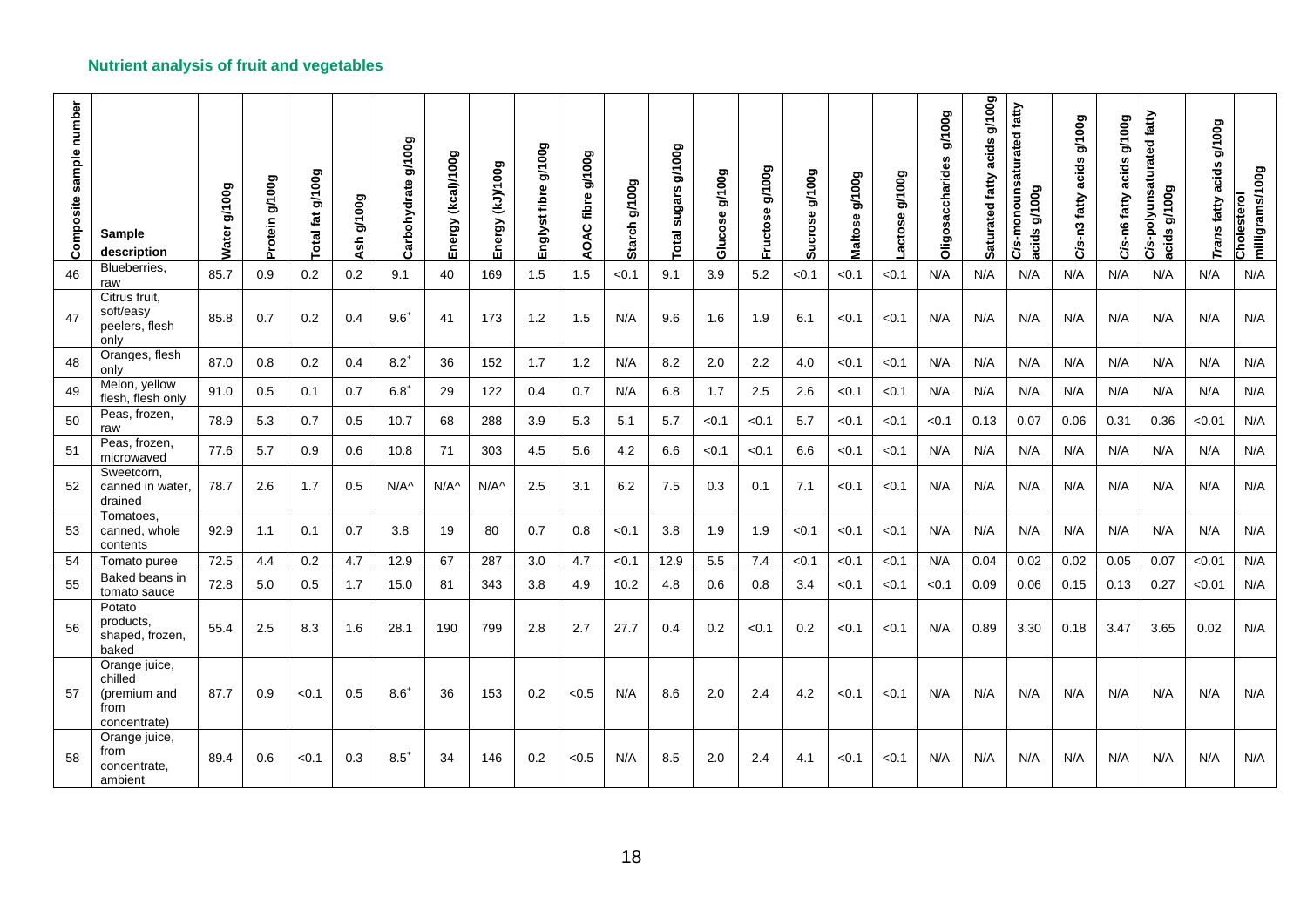| Composite sample number | Sample<br>description                                            | Water g/100g | Protein g/100g | g/100g<br>fat<br>Total | g/100g<br>Ash | Carbohydrate g/100g | Energy (kcal)/100g | Energy (kJ)/100g | g/100g<br>Englyst fibre | <b>600//6</b><br>AOAC fibre | <b>600L/6</b><br><b>Starch</b> | g/100g<br>sugars<br><b>Total</b> | g/100g<br>Glucose | <b>Bool/B</b><br>Fructose | g/100g<br>Sucrose | <b>600L/6</b><br>Maltose | g/100g<br>actose | g/100g<br><b>Oligosaccharides</b> | <b>Boor/B</b><br>acids<br>Saturated fatty | Cis-monounsaturated fatty<br>g/100g<br>acids | g/100g<br>acids<br>Cis-n3 fatty | g/100g<br>Cis-n6 fatty acids | Cis-polyunsaturated fatty<br>g/100g<br>acids | g/100g<br>acids<br>Trans fatty | Cholesterol<br>milligrams/100g |
|-------------------------|------------------------------------------------------------------|--------------|----------------|------------------------|---------------|---------------------|--------------------|------------------|-------------------------|-----------------------------|--------------------------------|----------------------------------|-------------------|---------------------------|-------------------|--------------------------|------------------|-----------------------------------|-------------------------------------------|----------------------------------------------|---------------------------------|------------------------------|----------------------------------------------|--------------------------------|--------------------------------|
| 46                      | Blueberries,<br>raw                                              | 85.7         | 0.9            | 0.2                    | 0.2           | 9.1                 | 40                 | 169              | 1.5                     | 1.5                         | < 0.1                          | 9.1                              | 3.9               | 5.2                       | < 0.1             | < 0.1                    | < 0.1            | N/A                               | N/A                                       | N/A                                          | N/A                             | N/A                          | N/A                                          | N/A                            | N/A                            |
| 47                      | Citrus fruit,<br>soft/easy<br>peelers, flesh<br>only             | 85.8         | 0.7            | 0.2                    | 0.4           | $9.6^{+}$           | 41                 | 173              | 1.2                     | 1.5                         | N/A                            | 9.6                              | 1.6               | 1.9                       | 6.1               | < 0.1                    | < 0.1            | N/A                               | N/A                                       | N/A                                          | N/A                             | N/A                          | N/A                                          | N/A                            | N/A                            |
| 48                      | Oranges, flesh<br>only                                           | 87.0         | 0.8            | 0.2                    | 0.4           | $8.2^{+}$           | 36                 | 152              | 1.7                     | 1.2                         | N/A                            | 8.2                              | 2.0               | 2.2                       | 4.0               | < 0.1                    | < 0.1            | N/A                               | N/A                                       | N/A                                          | N/A                             | N/A                          | N/A                                          | N/A                            | N/A                            |
| 49                      | Melon, yellow<br>flesh, flesh only                               | 91.0         | 0.5            | 0.1                    | 0.7           | $6.8^{+}$           | 29                 | 122              | 0.4                     | 0.7                         | N/A                            | 6.8                              | 1.7               | 2.5                       | 2.6               | < 0.1                    | < 0.1            | N/A                               | N/A                                       | N/A                                          | N/A                             | N/A                          | N/A                                          | N/A                            | N/A                            |
| 50                      | Peas, frozen,<br>raw                                             | 78.9         | 5.3            | 0.7                    | 0.5           | 10.7                | 68                 | 288              | 3.9                     | 5.3                         | 5.1                            | 5.7                              | < 0.1             | < 0.1                     | 5.7               | < 0.1                    | < 0.1            | < 0.1                             | 0.13                                      | 0.07                                         | 0.06                            | 0.31                         | 0.36                                         | < 0.01                         | N/A                            |
| 51                      | Peas, frozen,<br>microwaved                                      | 77.6         | 5.7            | 0.9                    | 0.6           | 10.8                | 71                 | 303              | 4.5                     | 5.6                         | 4.2                            | 6.6                              | < 0.1             | < 0.1                     | 6.6               | < 0.1                    | < 0.1            | N/A                               | N/A                                       | N/A                                          | N/A                             | N/A                          | N/A                                          | N/A                            | N/A                            |
| 52                      | Sweetcorn,<br>canned in water,<br>drained                        | 78.7         | 2.6            | 1.7                    | 0.5           | $N/A^{\wedge}$      | $N/A^{\wedge}$     | $N/A^{\wedge}$   | 2.5                     | 3.1                         | 6.2                            | 7.5                              | 0.3               | 0.1                       | 7.1               | <0.1                     | 0.1              | N/A                               | N/A                                       | N/A                                          | N/A                             | N/A                          | N/A                                          | N/A                            | N/A                            |
| 53                      | Tomatoes.<br>canned, whole<br>contents                           | 92.9         | 1.1            | 0.1                    | 0.7           | 3.8                 | 19                 | 80               | 0.7                     | 0.8                         | < 0.1                          | 3.8                              | 1.9               | 1.9                       | < 0.1             | < 0.1                    | < 0.1            | N/A                               | N/A                                       | N/A                                          | N/A                             | N/A                          | N/A                                          | N/A                            | N/A                            |
| 54                      | Tomato puree                                                     | 72.5         | 4.4            | 0.2                    | 4.7           | 12.9                | 67                 | 287              | 3.0                     | 4.7                         | < 0.1                          | 12.9                             | 5.5               | 7.4                       | < 0.1             | < 0.1                    | < 0.1            | N/A                               | 0.04                                      | 0.02                                         | 0.02                            | 0.05                         | 0.07                                         | < 0.01                         | N/A                            |
| 55                      | Baked beans in<br>tomato sauce                                   | 72.8         | 5.0            | 0.5                    | 1.7           | 15.0                | 81                 | 343              | 3.8                     | 4.9                         | 10.2                           | 4.8                              | 0.6               | 0.8                       | 3.4               | < 0.1                    | < 0.1            | < 0.1                             | 0.09                                      | 0.06                                         | 0.15                            | 0.13                         | 0.27                                         | < 0.01                         | N/A                            |
| 56                      | Potato<br>products,<br>shaped, frozen,<br>baked                  | 55.4         | 2.5            | 8.3                    | 1.6           | 28.1                | 190                | 799              | 2.8                     | 2.7                         | 27.7                           | 0.4                              | 0.2               | < 0.1                     | 0.2               | < 0.1                    | < 0.1            | N/A                               | 0.89                                      | 3.30                                         | 0.18                            | 3.47                         | 3.65                                         | 0.02                           | N/A                            |
| 57                      | Orange juice,<br>chilled<br>(premium and<br>from<br>concentrate) | 87.7         | 0.9            | < 0.1                  | 0.5           | $8.6^{+}$           | 36                 | 153              | 0.2                     | < 0.5                       | N/A                            | 8.6                              | 2.0               | 2.4                       | 4.2               | < 0.1                    | < 0.1            | N/A                               | N/A                                       | N/A                                          | N/A                             | N/A                          | N/A                                          | N/A                            | N/A                            |
| 58                      | Orange juice,<br>from<br>concentrate,<br>ambient                 | 89.4         | 0.6            | < 0.1                  | 0.3           | $8.5^{+}$           | 34                 | 146              | 0.2                     | < 0.5                       | N/A                            | 8.5                              | 2.0               | 2.4                       | 4.1               | < 0.1                    | < 0.1            | N/A                               | N/A                                       | N/A                                          | N/A                             | N/A                          | N/A                                          | N/A                            | N/A                            |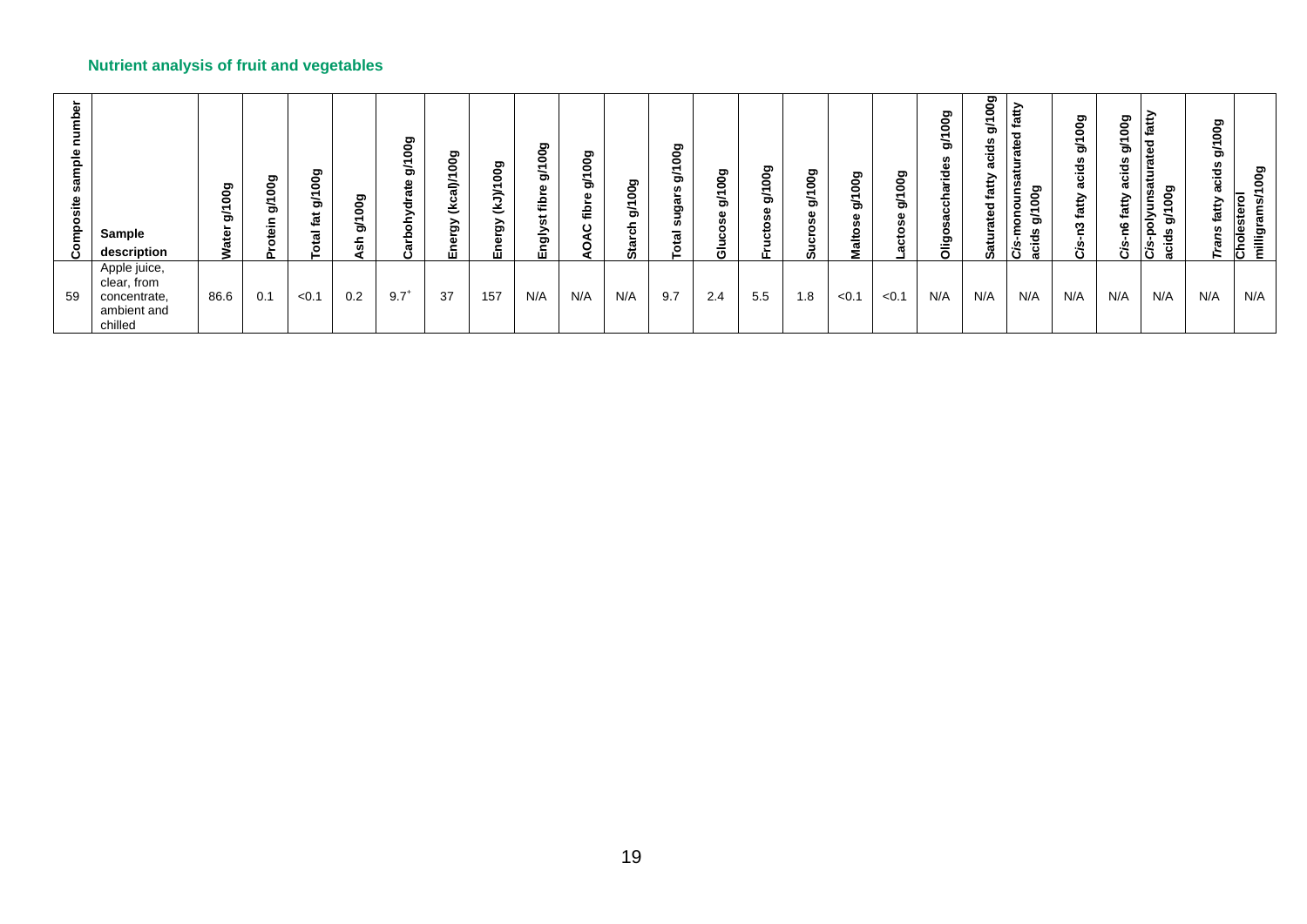| eم<br>ح<br>≗<br>웉 | Sample<br>description                                                 | 00g<br>$\overline{\phantom{0}}$<br>৯<br>Water | ත<br>0<br>0<br>৯<br>._ | ರಾ<br>۰<br>۰<br>÷<br>৯<br>tat<br><u>ia</u><br>– | 00g<br>টা | 9g<br>$\bullet$<br>ਠੋ<br>₽<br>ō.<br>ㅎ<br>><br>ᄒ<br>욘 | 00g<br>᠆<br>ৰি<br>قخ<br>ౚ<br>Ф<br>۵Ê | 00g<br>↽<br>ミミ<br>$\mathbf{\tilde{s}}$<br>៵<br>面 | ත<br>0<br>0<br>ත<br>ω<br>은<br>in.<br>ğly | 00g<br>$\overline{\phantom{0}}$<br>ক<br>Φ<br><u>iar</u><br>ပ | ల్లె<br>0<br>টা<br>ದ | 00g<br>$\overline{\phantom{0}}$<br>৯<br>n<br>ត<br>ත<br>ū,<br>otal | ల్లె<br>0<br>Ō<br>- | ၜၟ<br>$\overline{\phantom{0}}$<br>৯ | οσg<br>↽<br>৯<br>ω<br>ശ | కొ<br>۰<br>÷<br>৯<br>$\circ$ | 00g<br>$\overline{\phantom{0}}$<br>৯<br>ω<br>٥<br>ъ | စ္မွ<br>ক<br>흔<br>ں<br>۰<br>ölig | ဥ္မ<br>۰<br>ਨੇ<br>73<br>€<br>ℼ<br>ے<br>∸<br>پ<br>အီ | £<br>ത<br>ၜၘ<br>5<br>ਨੇ<br>Ο<br>acids | 00g<br>ත<br>ಕೆ<br><u>ت</u><br>atty<br>. .<br>ო<br><b>G</b><br>ة | లె<br>$\bullet$<br>ත<br>မ္မ<br>.<br>ပ<br>G.<br>≏<br>$\tilde{\bm{x}}$<br>ဧ<br>న | fatty<br>ﻰ<br>ω<br>∸<br>쯥<br>⋾<br>ō.<br>ರಾ<br>$\frac{5}{6}$<br>≒<br>증<br>৯<br>Ō.<br>g<br>દે<br>ā<br>ບ | కొ<br>0<br>৯<br>cids<br>atty | oog<br>Cholestero<br>ਛ<br>millig |
|-------------------|-----------------------------------------------------------------------|-----------------------------------------------|------------------------|-------------------------------------------------|-----------|------------------------------------------------------|--------------------------------------|--------------------------------------------------|------------------------------------------|--------------------------------------------------------------|----------------------|-------------------------------------------------------------------|---------------------|-------------------------------------|-------------------------|------------------------------|-----------------------------------------------------|----------------------------------|-----------------------------------------------------|---------------------------------------|-----------------------------------------------------------------|--------------------------------------------------------------------------------|-------------------------------------------------------------------------------------------------------|------------------------------|----------------------------------|
| 59                | Apple juice,<br>clear, from<br>concentrate,<br>ambient and<br>chilled | 86.6                                          | 0.1                    | < 0.1                                           | 0.2       | $9.7^+$                                              | 37                                   | 157                                              | N/A                                      | N/A                                                          | N/A                  | 9.7                                                               | 2.4                 | 5.5                                 | 1.8                     | < 0.1                        | < 0.1                                               | N/A                              | N/A                                                 | N/A                                   | N/A                                                             | N/A                                                                            | N/A                                                                                                   | N/A                          | N/A                              |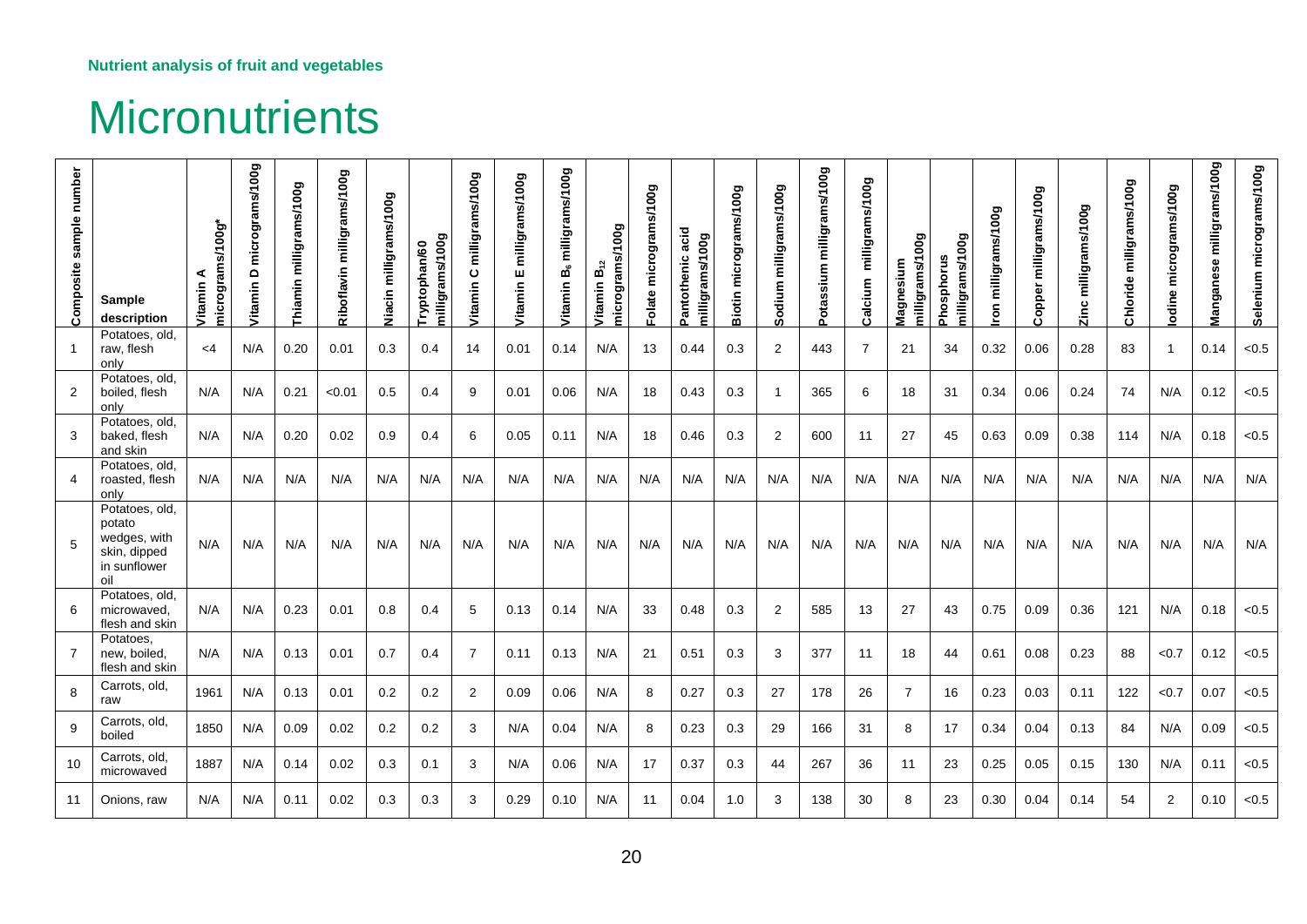## **Micronutrients**

<span id="page-19-0"></span>

| Composite sample number | <b>Sample</b><br>description                                                    | micrograms/100g*<br>⋖<br>Vitamin | micrograms/100g<br>$\overline{\phantom{a}}$<br>Vitamin | milligrams/100g<br>Thiamin | milligrams/100g<br>Riboflavin | Viacin milligrams/100g | nilligrams/100g<br>Tryptophan/60 | milligrams/100g<br>ပ<br><b>Vitamin</b> | milligrams/100g<br>ш<br><b>Vitamin</b> | milligrams/100g<br>മ്<br><b>Vitamin</b> | micrograms/100g<br>$\vec{\mathbf{B}}$<br>Vitamin | micrograms/100g<br>Folate | acid<br>nilligrams/100g<br>Pantothenic | micrograms/100g<br><b>Biotin</b> | milligrams/100g<br>Sodium | milligrams/100g<br>Potassium | milligrams/100g<br>Calcium | milligrams/100g<br>Magnesium | milligrams/100g<br><b>Phosphorus</b> | milligrams/100g | milligrams/100g<br>opper<br>$\ddot{\phantom{1}}$ | Zinc milligrams/100g | Chloride milligrams/100g | micrograms/100g<br>odine | milligrams/100g<br>Manganese | Selenium micrograms/100g |
|-------------------------|---------------------------------------------------------------------------------|----------------------------------|--------------------------------------------------------|----------------------------|-------------------------------|------------------------|----------------------------------|----------------------------------------|----------------------------------------|-----------------------------------------|--------------------------------------------------|---------------------------|----------------------------------------|----------------------------------|---------------------------|------------------------------|----------------------------|------------------------------|--------------------------------------|-----------------|--------------------------------------------------|----------------------|--------------------------|--------------------------|------------------------------|--------------------------|
|                         | Potatoes, old,<br>raw, flesh<br>only                                            | $<$ 4                            | N/A                                                    | 0.20                       | 0.01                          | 0.3                    | 0.4                              | 14                                     | 0.01                                   | 0.14                                    | N/A                                              | 13                        | 0.44                                   | 0.3                              | $\overline{2}$            | 443                          | $\overline{7}$             | 21                           | 34                                   | 0.32            | 0.06                                             | 0.28                 | 83                       | $\overline{1}$           | 0.14                         | < 0.5                    |
| 2                       | Potatoes, old,<br>boiled, flesh<br>only                                         | N/A                              | N/A                                                    | 0.21                       | < 0.01                        | 0.5                    | 0.4                              | 9                                      | 0.01                                   | 0.06                                    | N/A                                              | 18                        | 0.43                                   | 0.3                              | $\overline{1}$            | 365                          | 6                          | 18                           | 31                                   | 0.34            | 0.06                                             | 0.24                 | 74                       | N/A                      | 0.12                         | < 0.5                    |
| 3                       | Potatoes, old,<br>baked, flesh<br>and skin                                      | N/A                              | N/A                                                    | 0.20                       | 0.02                          | 0.9                    | 0.4                              | 6                                      | 0.05                                   | 0.11                                    | N/A                                              | 18                        | 0.46                                   | 0.3                              | $\overline{2}$            | 600                          | 11                         | 27                           | 45                                   | 0.63            | 0.09                                             | 0.38                 | 114                      | N/A                      | 0.18                         | < 0.5                    |
| 4                       | Potatoes, old,<br>roasted, flesh<br>only                                        | N/A                              | N/A                                                    | N/A                        | N/A                           | N/A                    | N/A                              | N/A                                    | N/A                                    | N/A                                     | N/A                                              | N/A                       | N/A                                    | N/A                              | N/A                       | N/A                          | N/A                        | N/A                          | N/A                                  | N/A             | N/A                                              | N/A                  | N/A                      | N/A                      | N/A                          | N/A                      |
| 5                       | Potatoes, old,<br>potato<br>wedges, with<br>skin, dipped<br>in sunflower<br>oil | N/A                              | N/A                                                    | N/A                        | N/A                           | N/A                    | N/A                              | N/A                                    | N/A                                    | N/A                                     | N/A                                              | N/A                       | N/A                                    | N/A                              | N/A                       | N/A                          | N/A                        | N/A                          | N/A                                  | N/A             | N/A                                              | N/A                  | N/A                      | N/A                      | N/A                          | N/A                      |
| 6                       | Potatoes, old.<br>microwaved,<br>flesh and skin                                 | N/A                              | N/A                                                    | 0.23                       | 0.01                          | 0.8                    | 0.4                              | 5                                      | 0.13                                   | 0.14                                    | N/A                                              | 33                        | 0.48                                   | 0.3                              | $\overline{2}$            | 585                          | 13                         | 27                           | 43                                   | 0.75            | 0.09                                             | 0.36                 | 121                      | N/A                      | 0.18                         | < 0.5                    |
| $\overline{7}$          | Potatoes.<br>new, boiled,<br>flesh and skin                                     | N/A                              | N/A                                                    | 0.13                       | 0.01                          | 0.7                    | 0.4                              | 7                                      | 0.11                                   | 0.13                                    | N/A                                              | 21                        | 0.51                                   | 0.3                              | 3                         | 377                          | -11                        | 18                           | 44                                   | 0.61            | 0.08                                             | 0.23                 | 88                       | < 0.7                    | 0.12                         | < 0.5                    |
| 8                       | Carrots, old,<br>raw                                                            | 1961                             | N/A                                                    | 0.13                       | 0.01                          | 0.2                    | 0.2                              | 2                                      | 0.09                                   | 0.06                                    | N/A                                              | 8                         | 0.27                                   | 0.3                              | 27                        | 178                          | 26                         | $\overline{7}$               | 16                                   | 0.23            | 0.03                                             | 0.11                 | 122                      | < 0.7                    | 0.07                         | < 0.5                    |
| 9                       | Carrots, old,<br>boiled                                                         | 1850                             | N/A                                                    | 0.09                       | 0.02                          | 0.2                    | 0.2                              | 3                                      | N/A                                    | 0.04                                    | N/A                                              | 8                         | 0.23                                   | 0.3                              | 29                        | 166                          | 31                         | 8                            | 17                                   | 0.34            | 0.04                                             | 0.13                 | 84                       | N/A                      | 0.09                         | < 0.5                    |
| 10                      | Carrots, old,<br>microwaved                                                     | 1887                             | N/A                                                    | 0.14                       | 0.02                          | 0.3                    | 0.1                              | 3                                      | N/A                                    | 0.06                                    | N/A                                              | 17                        | 0.37                                   | 0.3                              | 44                        | 267                          | 36                         | 11                           | 23                                   | 0.25            | 0.05                                             | 0.15                 | 130                      | N/A                      | 0.11                         | < 0.5                    |
| 11                      | Onions, raw                                                                     | N/A                              | N/A                                                    | 0.11                       | 0.02                          | 0.3                    | 0.3                              | 3                                      | 0.29                                   | 0.10                                    | N/A                                              | 11                        | 0.04                                   | 1.0                              | 3                         | 138                          | 30                         | 8                            | 23                                   | 0.30            | 0.04                                             | 0.14                 | 54                       | 2                        | 0.10                         | < 0.5                    |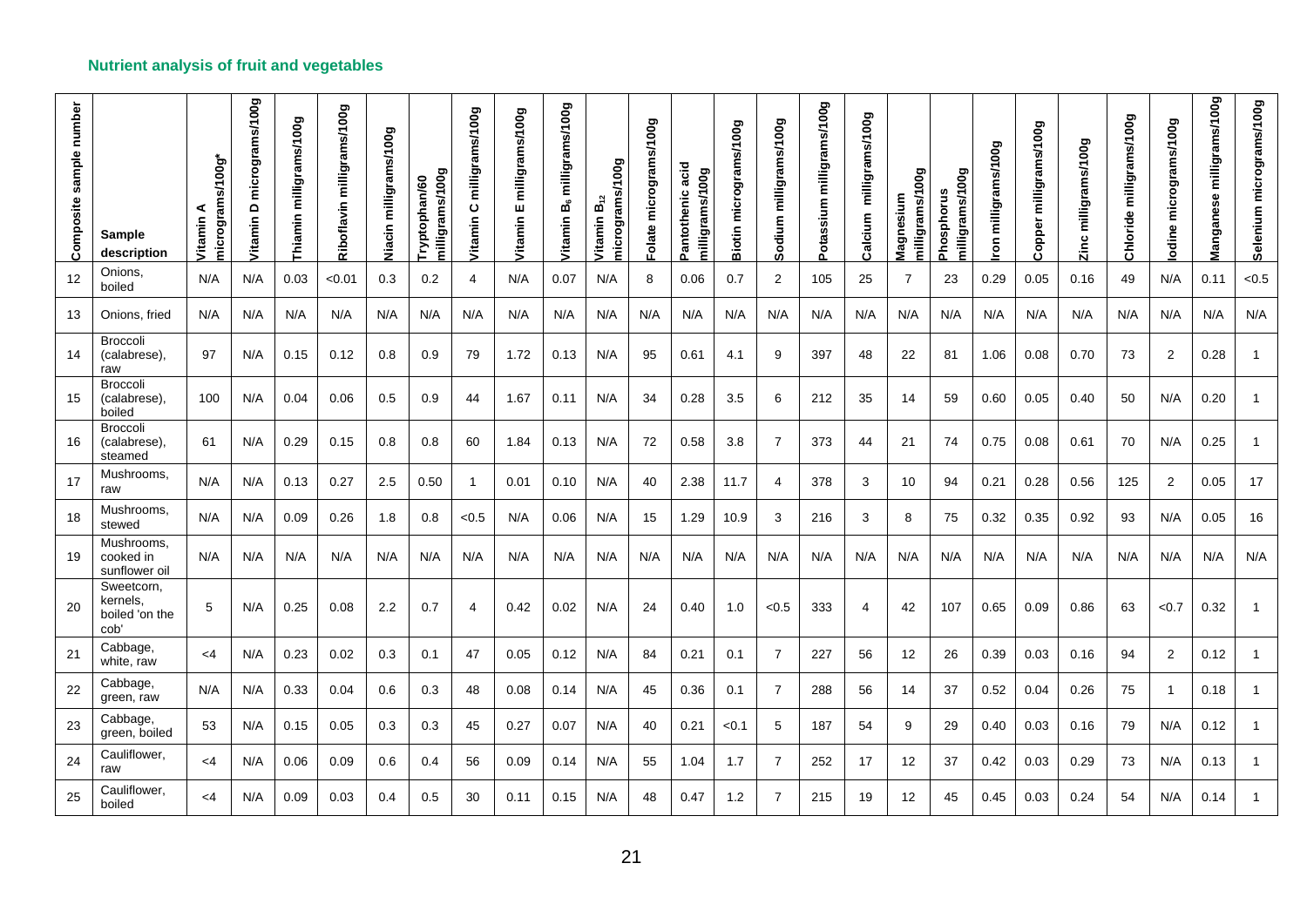| Composite sample number | Sample<br>description                            | micrograms/100g*<br><b>Jitamin</b> | micrograms/100g<br>$\mathbf{\Omega}$<br><b>/itamin</b> | milligrams/100g<br>Thiamin | milligrams/100g<br>Riboflavin | Niacin milligrams/100g | milligrams/100g<br>Tryptophan/60 | milligrams/100g<br>ပ<br>Vitamin | milligrams/100g<br>ш<br>Vitamin | milligrams/100g<br>മ്<br><b><i>Jitamin</i></b> | micrograms/100g<br>ωó<br><b>Vitamin</b> | Folate micrograms/100g | acid<br>milligrams/100g<br>Pantothenic | micrograms/100g<br><b>Biotin</b> | milligrams/100g<br>Sodium | milligrams/100g<br>Potassium | milligrams/100g<br>Calcium | milligrams/100g<br>Magnesium | milligrams/100g<br>Phosphorus | milligrams/100g<br>ΓOΠ | milligrams/100g<br>Copper | Zinc milligrams/100g | Chloride milligrams/100g | odine micrograms/100g | milligrams/100g<br>Manganese | Selenium micrograms/100g |
|-------------------------|--------------------------------------------------|------------------------------------|--------------------------------------------------------|----------------------------|-------------------------------|------------------------|----------------------------------|---------------------------------|---------------------------------|------------------------------------------------|-----------------------------------------|------------------------|----------------------------------------|----------------------------------|---------------------------|------------------------------|----------------------------|------------------------------|-------------------------------|------------------------|---------------------------|----------------------|--------------------------|-----------------------|------------------------------|--------------------------|
| 12                      | Onions.<br>boiled                                | N/A                                | N/A                                                    | 0.03                       | < 0.01                        | 0.3                    | 0.2                              | 4                               | N/A                             | 0.07                                           | N/A                                     | 8                      | 0.06                                   | 0.7                              | $\overline{2}$            | 105                          | 25                         | $\overline{7}$               | 23                            | 0.29                   | 0.05                      | 0.16                 | 49                       | N/A                   | 0.11                         | < 0.5                    |
| 13                      | Onions, fried                                    | N/A                                | N/A                                                    | N/A                        | N/A                           | N/A                    | N/A                              | N/A                             | N/A                             | N/A                                            | N/A                                     | N/A                    | N/A                                    | N/A                              | N/A                       | N/A                          | N/A                        | N/A                          | N/A                           | N/A                    | N/A                       | N/A                  | N/A                      | N/A                   | N/A                          | N/A                      |
| 14                      | Broccoli<br>(calabrese),<br>raw                  | 97                                 | N/A                                                    | 0.15                       | 0.12                          | 0.8                    | 0.9                              | 79                              | 1.72                            | 0.13                                           | N/A                                     | 95                     | 0.61                                   | 4.1                              | 9                         | 397                          | 48                         | 22                           | 81                            | 1.06                   | 0.08                      | 0.70                 | 73                       | $\overline{2}$        | 0.28                         |                          |
| 15                      | <b>Broccoli</b><br>(calabrese),<br>boiled        | 100                                | N/A                                                    | 0.04                       | 0.06                          | 0.5                    | 0.9                              | 44                              | 1.67                            | 0.11                                           | N/A                                     | 34                     | 0.28                                   | 3.5                              | 6                         | 212                          | 35                         | 14                           | 59                            | 0.60                   | 0.05                      | 0.40                 | 50                       | N/A                   | 0.20                         |                          |
| 16                      | <b>Broccoli</b><br>(calabrese),<br>steamed       | 61                                 | N/A                                                    | 0.29                       | 0.15                          | 0.8                    | 0.8                              | 60                              | 1.84                            | 0.13                                           | N/A                                     | 72                     | 0.58                                   | 3.8                              | $\overline{7}$            | 373                          | 44                         | 21                           | 74                            | 0.75                   | 0.08                      | 0.61                 | 70                       | N/A                   | 0.25                         | $\overline{1}$           |
| 17                      | Mushrooms,<br>raw                                | N/A                                | N/A                                                    | 0.13                       | 0.27                          | 2.5                    | 0.50                             | -1                              | 0.01                            | 0.10                                           | N/A                                     | 40                     | 2.38                                   | 11.7                             | 4                         | 378                          | 3                          | 10                           | 94                            | 0.21                   | 0.28                      | 0.56                 | 125                      | 2                     | 0.05                         | 17                       |
| 18                      | Mushrooms,<br>stewed                             | N/A                                | N/A                                                    | 0.09                       | 0.26                          | 1.8                    | 0.8                              | < 0.5                           | N/A                             | 0.06                                           | N/A                                     | 15                     | 1.29                                   | 10.9                             | 3                         | 216                          | 3                          | 8                            | 75                            | 0.32                   | 0.35                      | 0.92                 | 93                       | N/A                   | 0.05                         | 16                       |
| 19                      | Mushrooms.<br>cooked in<br>sunflower oil         | N/A                                | N/A                                                    | N/A                        | N/A                           | N/A                    | N/A                              | N/A                             | N/A                             | N/A                                            | N/A                                     | N/A                    | N/A                                    | N/A                              | N/A                       | N/A                          | N/A                        | N/A                          | N/A                           | N/A                    | N/A                       | N/A                  | N/A                      | N/A                   | N/A                          | N/A                      |
| 20                      | Sweetcorn.<br>kernels.<br>boiled 'on the<br>cob' | 5                                  | N/A                                                    | 0.25                       | 0.08                          | $2.2\,$                | 0.7                              | $\overline{4}$                  | 0.42                            | 0.02                                           | N/A                                     | 24                     | 0.40                                   | 1.0                              | < 0.5                     | 333                          | 4                          | 42                           | 107                           | 0.65                   | 0.09                      | 0.86                 | 63                       | < 0.7                 | 0.32                         |                          |
| 21                      | Cabbage,<br>white, raw                           | $<$ 4                              | N/A                                                    | 0.23                       | 0.02                          | 0.3                    | 0.1                              | 47                              | 0.05                            | 0.12                                           | N/A                                     | 84                     | 0.21                                   | 0.1                              | $\overline{7}$            | 227                          | 56                         | 12                           | 26                            | 0.39                   | 0.03                      | 0.16                 | 94                       | 2                     | 0.12                         | -1                       |
| 22                      | Cabbage,<br>green, raw                           | N/A                                | N/A                                                    | 0.33                       | 0.04                          | 0.6                    | 0.3                              | 48                              | 0.08                            | 0.14                                           | N/A                                     | 45                     | 0.36                                   | 0.1                              | $\overline{7}$            | 288                          | 56                         | 14                           | 37                            | 0.52                   | 0.04                      | 0.26                 | 75                       | $\mathbf{1}$          | 0.18                         | $\overline{1}$           |
| 23                      | Cabbage,<br>green, boiled                        | 53                                 | N/A                                                    | 0.15                       | 0.05                          | 0.3                    | 0.3                              | 45                              | 0.27                            | 0.07                                           | N/A                                     | 40                     | 0.21                                   | < 0.1                            | 5                         | 187                          | 54                         | 9                            | 29                            | 0.40                   | 0.03                      | 0.16                 | 79                       | N/A                   | 0.12                         |                          |
| 24                      | Cauliflower,<br>raw                              | $\leq 4$                           | N/A                                                    | 0.06                       | 0.09                          | 0.6                    | 0.4                              | 56                              | 0.09                            | 0.14                                           | N/A                                     | 55                     | 1.04                                   | 1.7                              | $\overline{7}$            | 252                          | 17                         | 12                           | 37                            | 0.42                   | 0.03                      | 0.29                 | 73                       | N/A                   | 0.13                         |                          |
| 25                      | Cauliflower,<br>boiled                           | <4                                 | N/A                                                    | 0.09                       | 0.03                          | 0.4                    | 0.5                              | 30                              | 0.11                            | 0.15                                           | N/A                                     | 48                     | 0.47                                   | 1.2                              | $\overline{7}$            | 215                          | 19                         | 12                           | 45                            | 0.45                   | 0.03                      | 0.24                 | 54                       | N/A                   | 0.14                         |                          |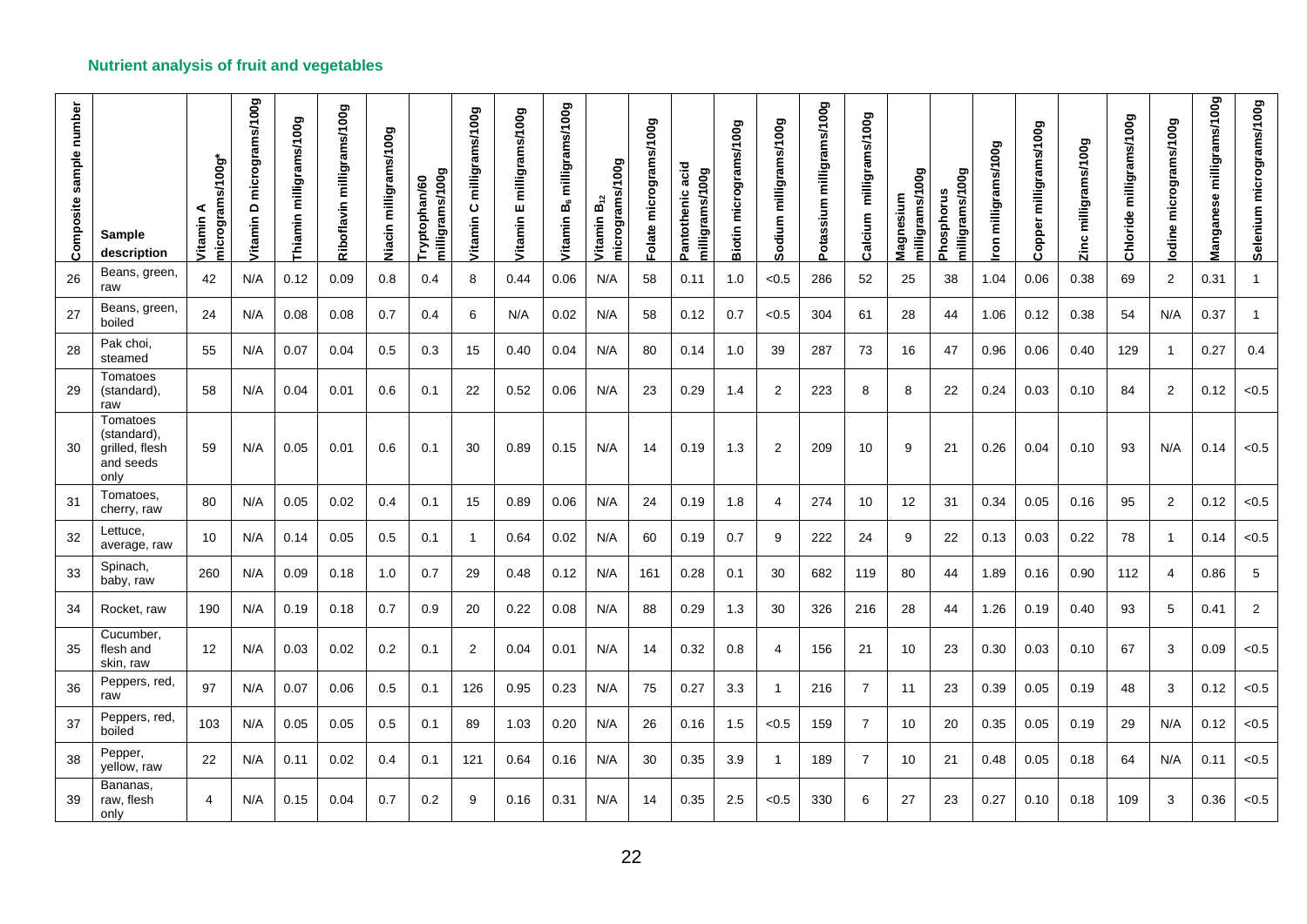| Composite sample number | <b>Sample</b><br>description                                   | is/100g*<br>microgram<br>⋖<br>Vitamin | micrograms/100g<br>$\mathbf \Omega$<br>Vitamin | milligrams/100g<br>Thiamin | milligrams/100g<br>Riboflavin | Niacin milligrams/100g | milligrams/100g<br>Tryptophan/60 | milligrams/100g<br>$\mathbf{o}$<br>Vitamin | milligrams/100g<br>ш<br><b>Vitamin</b> | milligrams/100g<br>Ъů<br>Vitamin | micrograms/100g<br>ωó<br>Vitamin | Folate micrograms/100g | acid<br>milligrams/100g<br>Pantothenic | micrograms/100g<br><b>Biotin</b> | milligrams/100g<br>Sodium | Potassium milligrams/100g | milligrams/100g<br>Calcium | milligrams/100g<br>Magnesium | milligrams/100g<br>Phosphorus | milligrams/100g<br>mou | milligrams/100g<br>Copper | Zinc milligrams/100g | milligrams/100g<br>Chloride | odine micrograms/100g | milligrams/100g<br>Manganese | Selenium micrograms/100g |
|-------------------------|----------------------------------------------------------------|---------------------------------------|------------------------------------------------|----------------------------|-------------------------------|------------------------|----------------------------------|--------------------------------------------|----------------------------------------|----------------------------------|----------------------------------|------------------------|----------------------------------------|----------------------------------|---------------------------|---------------------------|----------------------------|------------------------------|-------------------------------|------------------------|---------------------------|----------------------|-----------------------------|-----------------------|------------------------------|--------------------------|
| 26                      | Beans, green,<br>raw                                           | 42                                    | N/A                                            | 0.12                       | 0.09                          | 0.8                    | 0.4                              | 8                                          | 0.44                                   | 0.06                             | N/A                              | 58                     | 0.11                                   | 1.0                              | < 0.5                     | 286                       | 52                         | 25                           | 38                            | 1.04                   | 0.06                      | 0.38                 | 69                          | 2                     | 0.31                         | -1                       |
| 27                      | Beans, green,<br>boiled                                        | 24                                    | N/A                                            | 0.08                       | 0.08                          | 0.7                    | 0.4                              | 6                                          | N/A                                    | 0.02                             | N/A                              | 58                     | 0.12                                   | 0.7                              | < 0.5                     | 304                       | 61                         | 28                           | 44                            | 1.06                   | 0.12                      | 0.38                 | 54                          | N/A                   | 0.37                         | $\overline{1}$           |
| 28                      | Pak choi,<br>steamed                                           | 55                                    | N/A                                            | 0.07                       | 0.04                          | 0.5                    | 0.3                              | 15                                         | 0.40                                   | 0.04                             | N/A                              | 80                     | 0.14                                   | 1.0                              | 39                        | 287                       | 73                         | 16                           | 47                            | 0.96                   | 0.06                      | 0.40                 | 129                         | -1                    | 0.27                         | 0.4                      |
| 29                      | Tomatoes<br>(standard).<br>raw                                 | 58                                    | N/A                                            | 0.04                       | 0.01                          | 0.6                    | 0.1                              | 22                                         | 0.52                                   | 0.06                             | N/A                              | 23                     | 0.29                                   | 1.4                              | 2                         | 223                       | 8                          | 8                            | 22                            | 0.24                   | 0.03                      | 0.10                 | 84                          | $\overline{2}$        | 0.12                         | < 0.5                    |
| 30                      | Tomatoes<br>(standard),<br>grilled, flesh<br>and seeds<br>only | 59                                    | N/A                                            | 0.05                       | 0.01                          | 0.6                    | 0.1                              | 30                                         | 0.89                                   | 0.15                             | N/A                              | 14                     | 0.19                                   | 1.3                              | $\overline{2}$            | 209                       | 10                         | 9                            | 21                            | 0.26                   | 0.04                      | 0.10                 | 93                          | N/A                   | 0.14                         | < 0.5                    |
| 31                      | Tomatoes,<br>cherry, raw                                       | 80                                    | N/A                                            | 0.05                       | 0.02                          | 0.4                    | 0.1                              | 15                                         | 0.89                                   | 0.06                             | N/A                              | 24                     | 0.19                                   | 1.8                              | $\overline{4}$            | 274                       | 10                         | 12                           | 31                            | 0.34                   | 0.05                      | 0.16                 | 95                          | 2                     | 0.12                         | < 0.5                    |
| 32                      | Lettuce,<br>average, raw                                       | 10                                    | N/A                                            | 0.14                       | 0.05                          | 0.5                    | 0.1                              | -1                                         | 0.64                                   | 0.02                             | N/A                              | 60                     | 0.19                                   | 0.7                              | 9                         | 222                       | 24                         | 9                            | 22                            | 0.13                   | 0.03                      | 0.22                 | 78                          | -1                    | 0.14                         | < 0.5                    |
| 33                      | Spinach,<br>baby, raw                                          | 260                                   | N/A                                            | 0.09                       | 0.18                          | 1.0                    | 0.7                              | 29                                         | 0.48                                   | 0.12                             | N/A                              | 161                    | 0.28                                   | 0.1                              | 30                        | 682                       | 119                        | 80                           | 44                            | 1.89                   | 0.16                      | 0.90                 | 112                         | 4                     | 0.86                         | 5                        |
| 34                      | Rocket, raw                                                    | 190                                   | N/A                                            | 0.19                       | 0.18                          | 0.7                    | 0.9                              | 20                                         | 0.22                                   | 0.08                             | N/A                              | 88                     | 0.29                                   | 1.3                              | 30                        | 326                       | 216                        | 28                           | 44                            | 1.26                   | 0.19                      | 0.40                 | 93                          | 5                     | 0.41                         | $\overline{2}$           |
| 35                      | Cucumber,<br>flesh and<br>skin, raw                            | 12                                    | N/A                                            | 0.03                       | 0.02                          | 0.2                    | 0.1                              | 2                                          | 0.04                                   | 0.01                             | N/A                              | 14                     | 0.32                                   | 0.8                              | 4                         | 156                       | 21                         | 10                           | 23                            | 0.30                   | 0.03                      | 0.10                 | 67                          | 3                     | 0.09                         | < 0.5                    |
| 36                      | Peppers, red,<br>raw                                           | 97                                    | N/A                                            | 0.07                       | 0.06                          | 0.5                    | 0.1                              | 126                                        | 0.95                                   | 0.23                             | N/A                              | 75                     | 0.27                                   | 3.3                              | $\overline{1}$            | 216                       | $\overline{7}$             | 11                           | 23                            | 0.39                   | 0.05                      | 0.19                 | 48                          | 3                     | 0.12                         | < 0.5                    |
| 37                      | Peppers, red,<br>boiled                                        | 103                                   | N/A                                            | 0.05                       | 0.05                          | 0.5                    | 0.1                              | 89                                         | 1.03                                   | 0.20                             | N/A                              | 26                     | 0.16                                   | 1.5                              | < 0.5                     | 159                       | $\overline{7}$             | 10                           | 20                            | 0.35                   | 0.05                      | 0.19                 | 29                          | N/A                   | 0.12                         | < 0.5                    |
| 38                      | Pepper,<br>yellow, raw                                         | 22                                    | N/A                                            | 0.11                       | 0.02                          | 0.4                    | 0.1                              | 121                                        | 0.64                                   | 0.16                             | N/A                              | 30                     | 0.35                                   | 3.9                              | -1                        | 189                       | 7                          | 10                           | 21                            | 0.48                   | 0.05                      | 0.18                 | 64                          | N/A                   | 0.11                         | < 0.5                    |
| 39                      | Bananas,<br>raw, flesh<br>only                                 | 4                                     | N/A                                            | 0.15                       | 0.04                          | 0.7                    | 0.2                              | 9                                          | 0.16                                   | 0.31                             | N/A                              | 14                     | 0.35                                   | 2.5                              | < 0.5                     | 330                       | 6                          | 27                           | 23                            | 0.27                   | 0.10                      | 0.18                 | 109                         | 3                     | 0.36                         | < 0.5                    |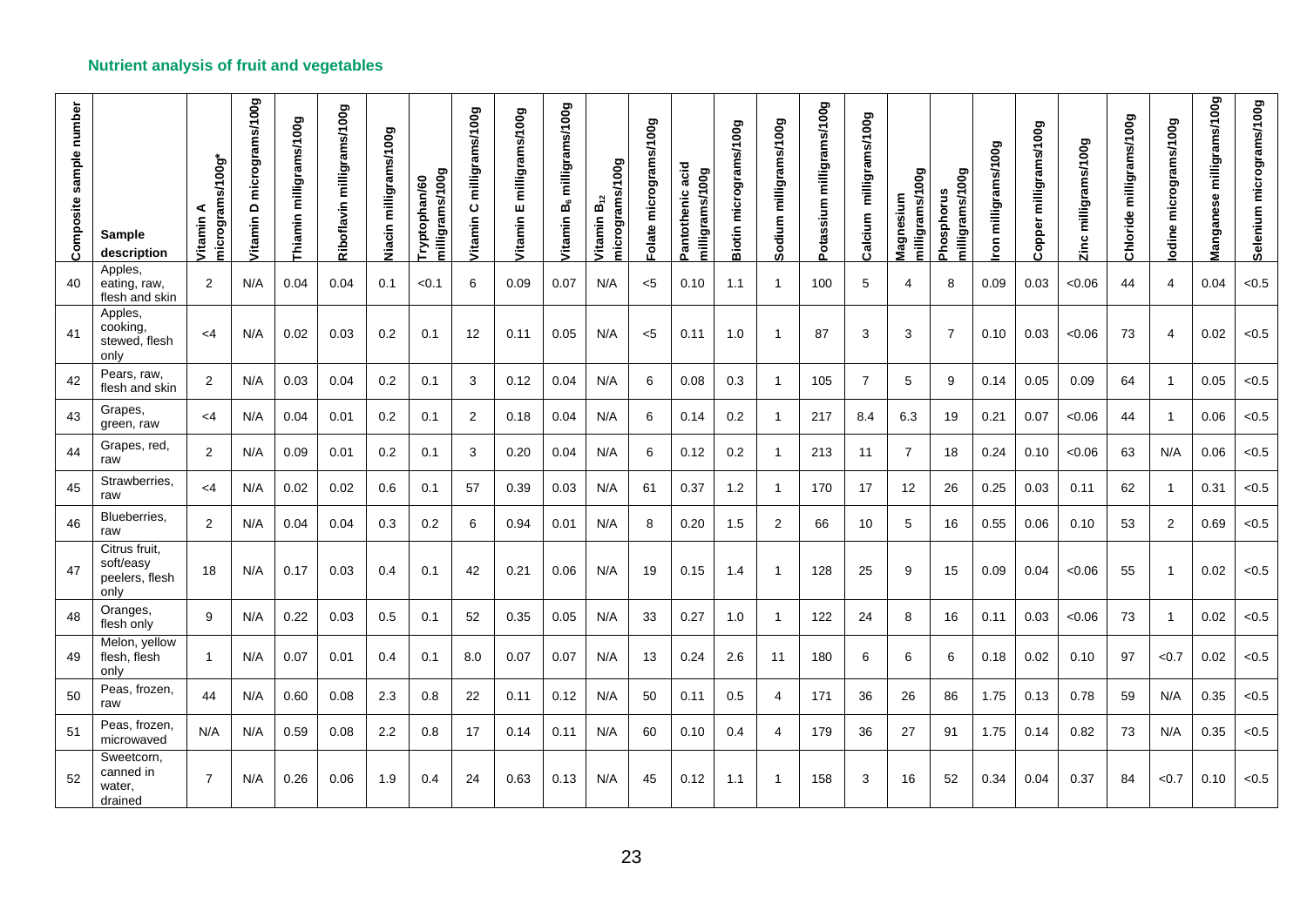| Composite sample number | <b>Sample</b><br>description                         | is/100g*<br>microgram<br>⋖<br>Vitamin | micrograms/100g<br>$\mathbf \Omega$<br>Vitamin | milligrams/100g<br>Thiamin | Riboflavin milligrams/100g | Viacin milligrams/100g | milligrams/100g<br>Tryptophan/60 | milligrams/100g<br>$\mathbf{o}$<br>Vitamin | milligrams/100g<br>ш<br>Vitamin | milligrams/100g<br>$\mathbf{g}_\mathrm{c}$<br>Vitamin | micrograms/100g<br>$\vec{B_2}$<br>Vitamin | Folate micrograms/100g | acid<br>milligrams/100g<br>Pantothenic | micrograms/100g<br><b>Biotin</b> | milligrams/100g<br>Sodium | milligrams/100g<br>Potassium | milligrams/100g<br>Calcium | 00g<br>milligrams/1<br>Magnesium | milligrams/100g<br>Phosphorus | milligrams/100g<br>$\tilde{e}$ | milligrams/100g<br>Copper | Zinc milligrams/100g | milligrams/100g<br>Chloride | odine micrograms/100g | milligrams/100g<br>Manganese | Selenium micrograms/100g |
|-------------------------|------------------------------------------------------|---------------------------------------|------------------------------------------------|----------------------------|----------------------------|------------------------|----------------------------------|--------------------------------------------|---------------------------------|-------------------------------------------------------|-------------------------------------------|------------------------|----------------------------------------|----------------------------------|---------------------------|------------------------------|----------------------------|----------------------------------|-------------------------------|--------------------------------|---------------------------|----------------------|-----------------------------|-----------------------|------------------------------|--------------------------|
| 40                      | Apples,<br>eating, raw,<br>flesh and skin            | 2                                     | N/A                                            | 0.04                       | 0.04                       | 0.1                    | < 0.1                            | 6                                          | 0.09                            | 0.07                                                  | N/A                                       | $<$ 5                  | 0.10                                   | 1.1                              | $\mathbf{1}$              | 100                          | 5                          | $\overline{4}$                   | 8                             | 0.09                           | 0.03                      | <0.06                | 44                          | 4                     | 0.04                         | < 0.5                    |
| 41                      | Apples,<br>cooking.<br>stewed, flesh<br>only         | $<$ 4                                 | N/A                                            | 0.02                       | 0.03                       | 0.2                    | 0.1                              | 12                                         | 0.11                            | 0.05                                                  | N/A                                       | $<$ 5                  | 0.11                                   | 1.0                              | $\overline{1}$            | 87                           | 3                          | 3                                | $\overline{7}$                | 0.10                           | 0.03                      | <0.06                | 73                          | $\overline{4}$        | 0.02                         | < 0.5                    |
| 42                      | Pears, raw,<br>flesh and skin                        | 2                                     | N/A                                            | 0.03                       | 0.04                       | 0.2                    | 0.1                              | 3                                          | 0.12                            | 0.04                                                  | N/A                                       | 6                      | 0.08                                   | 0.3                              | $\mathbf{1}$              | 105                          | 7                          | 5                                | 9                             | 0.14                           | 0.05                      | 0.09                 | 64                          | $\mathbf{1}$          | 0.05                         | < 0.5                    |
| 43                      | Grapes,<br>green, raw                                | $<$ 4                                 | N/A                                            | 0.04                       | 0.01                       | 0.2                    | 0.1                              | 2                                          | 0.18                            | 0.04                                                  | N/A                                       | 6                      | 0.14                                   | 0.2                              | $\mathbf{1}$              | 217                          | 8.4                        | 6.3                              | 19                            | 0.21                           | 0.07                      | < 0.06               | 44                          | $\overline{1}$        | 0.06                         | < 0.5                    |
| 44                      | Grapes, red,<br>raw                                  | 2                                     | N/A                                            | 0.09                       | 0.01                       | 0.2                    | 0.1                              | 3                                          | 0.20                            | 0.04                                                  | N/A                                       | 6                      | 0.12                                   | 0.2                              | $\mathbf{1}$              | 213                          | 11                         | $\overline{7}$                   | 18                            | 0.24                           | 0.10                      | < 0.06               | 63                          | N/A                   | 0.06                         | < 0.5                    |
| 45                      | Strawberries,<br>raw                                 | $<$ 4                                 | N/A                                            | 0.02                       | 0.02                       | 0.6                    | 0.1                              | 57                                         | 0.39                            | 0.03                                                  | N/A                                       | 61                     | 0.37                                   | 1.2                              | $\mathbf{1}$              | 170                          | 17                         | 12                               | 26                            | 0.25                           | 0.03                      | 0.11                 | 62                          | $\mathbf{1}$          | 0.31                         | < 0.5                    |
| 46                      | Blueberries,<br>raw                                  | 2                                     | N/A                                            | 0.04                       | 0.04                       | 0.3                    | 0.2                              | 6                                          | 0.94                            | 0.01                                                  | N/A                                       | 8                      | 0.20                                   | 1.5                              | $\overline{2}$            | 66                           | 10                         | 5                                | 16                            | 0.55                           | 0.06                      | 0.10                 | 53                          | $\overline{2}$        | 0.69                         | < 0.5                    |
| 47                      | Citrus fruit,<br>soft/easy<br>peelers, flesh<br>only | 18                                    | N/A                                            | 0.17                       | 0.03                       | 0.4                    | 0.1                              | 42                                         | 0.21                            | 0.06                                                  | N/A                                       | 19                     | 0.15                                   | 1.4                              | $\mathbf{1}$              | 128                          | 25                         | 9                                | 15                            | 0.09                           | 0.04                      | < 0.06               | 55                          | $\mathbf{1}$          | 0.02                         | < 0.5                    |
| 48                      | Oranges,<br>flesh only                               | 9                                     | N/A                                            | 0.22                       | 0.03                       | 0.5                    | 0.1                              | 52                                         | 0.35                            | 0.05                                                  | N/A                                       | 33                     | 0.27                                   | 1.0                              | $\mathbf{1}$              | 122                          | 24                         | 8                                | 16                            | 0.11                           | 0.03                      | < 0.06               | 73                          | $\mathbf{1}$          | 0.02                         | < 0.5                    |
| 49                      | Melon, yellow<br>flesh, flesh<br>only                | $\mathbf{1}$                          | N/A                                            | 0.07                       | 0.01                       | 0.4                    | 0.1                              | 8.0                                        | 0.07                            | 0.07                                                  | N/A                                       | 13                     | 0.24                                   | 2.6                              | 11                        | 180                          | 6                          | 6                                | 6                             | 0.18                           | 0.02                      | 0.10                 | 97                          | < 0.7                 | 0.02                         | < 0.5                    |
| 50                      | Peas, frozen,<br>raw                                 | 44                                    | N/A                                            | 0.60                       | 0.08                       | 2.3                    | 0.8                              | 22                                         | 0.11                            | 0.12                                                  | N/A                                       | 50                     | 0.11                                   | 0.5                              | $\overline{4}$            | 171                          | 36                         | 26                               | 86                            | 1.75                           | 0.13                      | 0.78                 | 59                          | N/A                   | 0.35                         | < 0.5                    |
| 51                      | Peas, frozen,<br>microwaved                          | N/A                                   | N/A                                            | 0.59                       | 0.08                       | 2.2                    | 0.8                              | 17                                         | 0.14                            | 0.11                                                  | N/A                                       | 60                     | 0.10                                   | 0.4                              | $\overline{4}$            | 179                          | 36                         | 27                               | 91                            | 1.75                           | 0.14                      | 0.82                 | 73                          | N/A                   | 0.35                         | < 0.5                    |
| 52                      | Sweetcorn,<br>canned in<br>water,<br>drained         | $\overline{7}$                        | N/A                                            | 0.26                       | 0.06                       | 1.9                    | 0.4                              | 24                                         | 0.63                            | 0.13                                                  | N/A                                       | 45                     | 0.12                                   | 1.1                              | $\mathbf{1}$              | 158                          | 3                          | 16                               | 52                            | 0.34                           | 0.04                      | 0.37                 | 84                          | < 0.7                 | 0.10                         | < 0.5                    |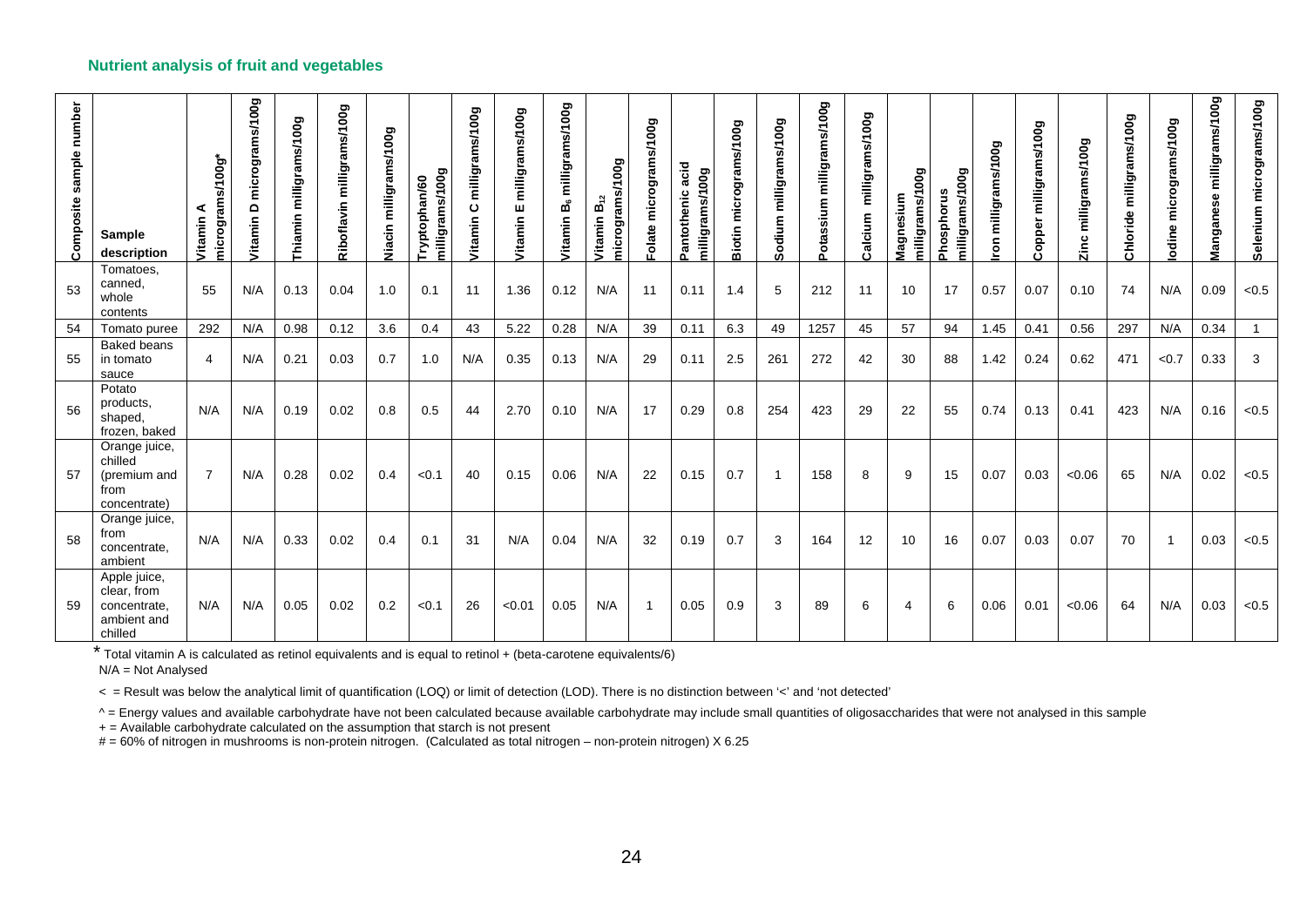| number<br>sample<br>Composite | Sample<br>description                                                 | 00g*<br>micrograms/1<br>Vitamin | micrograms/100g<br>٥<br>Vitamin | milligrams/100g<br>Thiamin | milligrams/100g<br>Riboflavin | milligrams/100g<br>Ξ<br>Ξå | milligrams/100g<br>ptophan/60<br>$\sum_{i=1}^{n}$ | milligrams/100g<br>$\mathbf c$<br><b>Vitamin</b> | milligrams/100g<br>ш<br>Vitamin | milligrams/100g<br>Ъů<br>Vitamin | 00g<br>micrograms/1<br>$B_{i2}$<br>Vitamin | micrograms/100g<br>olate | acid<br>00g<br>Pantothenic<br>milligrams/1 | micrograms/100g<br><b>Biotin</b> | milligrams/100g<br>Sodium | milligrams/100g<br>Potassium | milligrams/100g<br>Calcium | 00g<br>milligrams/1<br>Magnesium | milligrams/100g<br>Phosphorus | <b>Boo</b><br>milligram<br>ō | milligrams/100g<br>Copper | milligrams/100g<br>Zinc | milligrams/100g<br>oride<br>$\bar{5}$ | odine micrograms/100g | milligrams/100g<br>Manganese | Selenium micrograms/100g |
|-------------------------------|-----------------------------------------------------------------------|---------------------------------|---------------------------------|----------------------------|-------------------------------|----------------------------|---------------------------------------------------|--------------------------------------------------|---------------------------------|----------------------------------|--------------------------------------------|--------------------------|--------------------------------------------|----------------------------------|---------------------------|------------------------------|----------------------------|----------------------------------|-------------------------------|------------------------------|---------------------------|-------------------------|---------------------------------------|-----------------------|------------------------------|--------------------------|
| 53                            | Tomatoes,<br>canned,<br>whole<br>contents                             | 55                              | N/A                             | 0.13                       | 0.04                          | 1.0                        | 0.1                                               | 11                                               | 1.36                            | 0.12                             | N/A                                        | 11                       | 0.11                                       | 1.4                              | 5                         | 212                          | 11                         | 10                               | 17                            | 0.57                         | 0.07                      | 0.10                    | 74                                    | N/A                   | 0.09                         | < 0.5                    |
| 54                            | Tomato puree                                                          | 292                             | N/A                             | 0.98                       | 0.12                          | 3.6                        | 0.4                                               | 43                                               | 5.22                            | 0.28                             | N/A                                        | 39                       | 0.11                                       | 6.3                              | 49                        | 1257                         | 45                         | 57                               | 94                            | 1.45                         | 0.41                      | 0.56                    | 297                                   | N/A                   | 0.34                         |                          |
| 55                            | <b>Baked beans</b><br>in tomato<br>sauce                              | 4                               | N/A                             | 0.21                       | 0.03                          | 0.7                        | 1.0                                               | N/A                                              | 0.35                            | 0.13                             | N/A                                        | 29                       | 0.11                                       | 2.5                              | 261                       | 272                          | 42                         | 30                               | 88                            | 1.42                         | 0.24                      | 0.62                    | 471                                   | < 0.7                 | 0.33                         | 3                        |
| 56                            | Potato<br>products,<br>shaped,<br>frozen, baked                       | N/A                             | N/A                             | 0.19                       | 0.02                          | 0.8                        | 0.5                                               | 44                                               | 2.70                            | 0.10                             | N/A                                        | 17                       | 0.29                                       | 0.8                              | 254                       | 423                          | 29                         | 22                               | 55                            | 0.74                         | 0.13                      | 0.41                    | 423                                   | N/A                   | 0.16                         | < 0.5                    |
| 57                            | Orange juice,<br>chilled<br>(premium and<br>from<br>concentrate)      | $\overline{7}$                  | N/A                             | 0.28                       | 0.02                          | 0.4                        | < 0.1                                             | 40                                               | 0.15                            | 0.06                             | N/A                                        | 22                       | 0.15                                       | 0.7                              | $\overline{1}$            | 158                          | 8                          | 9                                | 15                            | 0.07                         | 0.03                      | < 0.06                  | 65                                    | N/A                   | 0.02                         | < 0.5                    |
| 58                            | Orange juice,<br>from<br>concentrate,<br>ambient                      | N/A                             | N/A                             | 0.33                       | 0.02                          | 0.4                        | 0.1                                               | 31                                               | N/A                             | 0.04                             | N/A                                        | 32                       | 0.19                                       | 0.7                              | 3                         | 164                          | 12                         | 10                               | 16                            | 0.07                         | 0.03                      | 0.07                    | 70                                    | $\overline{1}$        | 0.03                         | < 0.5                    |
| 59                            | Apple juice,<br>clear, from<br>concentrate.<br>ambient and<br>chilled | N/A                             | N/A                             | 0.05                       | 0.02                          | 0.2                        | < 0.1                                             | 26                                               | < 0.01                          | 0.05                             | N/A                                        | $\mathbf{1}$             | 0.05                                       | 0.9                              | 3                         | 89                           | 6                          | 4                                | 6                             | 0.06                         | 0.01                      | < 0.06                  | 64                                    | N/A                   | 0.03                         | < 0.5                    |

\* Total vitamin A is calculated as retinol equivalents and is equal to retinol + (beta-carotene equivalents/6)

N/A = Not Analysed

< = Result was below the analytical limit of quantification (LOQ) or limit of detection (LOD). There is no distinction between '<' and 'not detected'

^ = Energy values and available carbohydrate have not been calculated because available carbohydrate may include small quantities of oligosaccharides that were not analysed in this sample

+ = Available carbohydrate calculated on the assumption that starch is not present

# = 60% of nitrogen in mushrooms is non-protein nitrogen. (Calculated as total nitrogen – non-protein nitrogen) X 6.25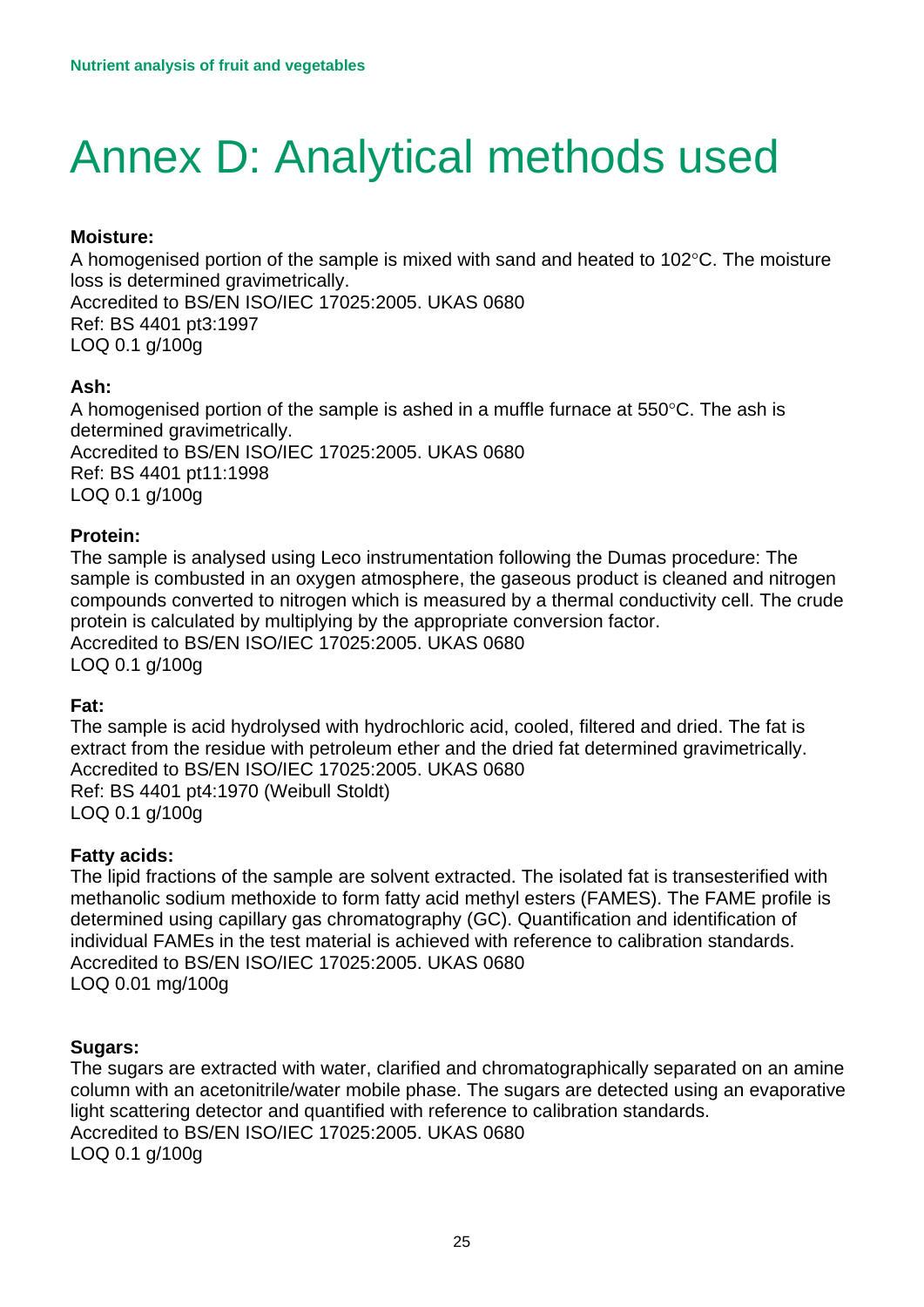# <span id="page-24-0"></span>Annex D: Analytical methods used

### **Moisture:**

A homogenised portion of the sample is mixed with sand and heated to 102°C. The moisture loss is determined gravimetrically. Accredited to BS/EN ISO/IEC 17025:2005. UKAS 0680 Ref: BS 4401 pt3:1997 LOQ 0.1 g/100g

### **Ash:**

A homogenised portion of the sample is ashed in a muffle furnace at  $550^{\circ}$ C. The ash is determined gravimetrically. Accredited to BS/EN ISO/IEC 17025:2005. UKAS 0680 Ref: BS 4401 pt11:1998 LOQ 0.1 g/100g

### **Protein:**

The sample is analysed using Leco instrumentation following the Dumas procedure: The sample is combusted in an oxygen atmosphere, the gaseous product is cleaned and nitrogen compounds converted to nitrogen which is measured by a thermal conductivity cell. The crude protein is calculated by multiplying by the appropriate conversion factor. Accredited to BS/EN ISO/IEC 17025:2005. UKAS 0680 LOQ 0.1 g/100g

#### **Fat:**

The sample is acid hydrolysed with hydrochloric acid, cooled, filtered and dried. The fat is extract from the residue with petroleum ether and the dried fat determined gravimetrically. Accredited to BS/EN ISO/IEC 17025:2005. UKAS 0680 Ref: BS 4401 pt4:1970 (Weibull Stoldt) LOQ 0.1 g/100g

#### **Fatty acids:**

The lipid fractions of the sample are solvent extracted. The isolated fat is transesterified with methanolic sodium methoxide to form fatty acid methyl esters (FAMES). The FAME profile is determined using capillary gas chromatography (GC). Quantification and identification of individual FAMEs in the test material is achieved with reference to calibration standards. Accredited to BS/EN ISO/IEC 17025:2005. UKAS 0680 LOQ 0.01 mg/100g

#### **Sugars:**

The sugars are extracted with water, clarified and chromatographically separated on an amine column with an acetonitrile/water mobile phase. The sugars are detected using an evaporative light scattering detector and quantified with reference to calibration standards. Accredited to BS/EN ISO/IEC 17025:2005. UKAS 0680 LOQ 0.1 g/100g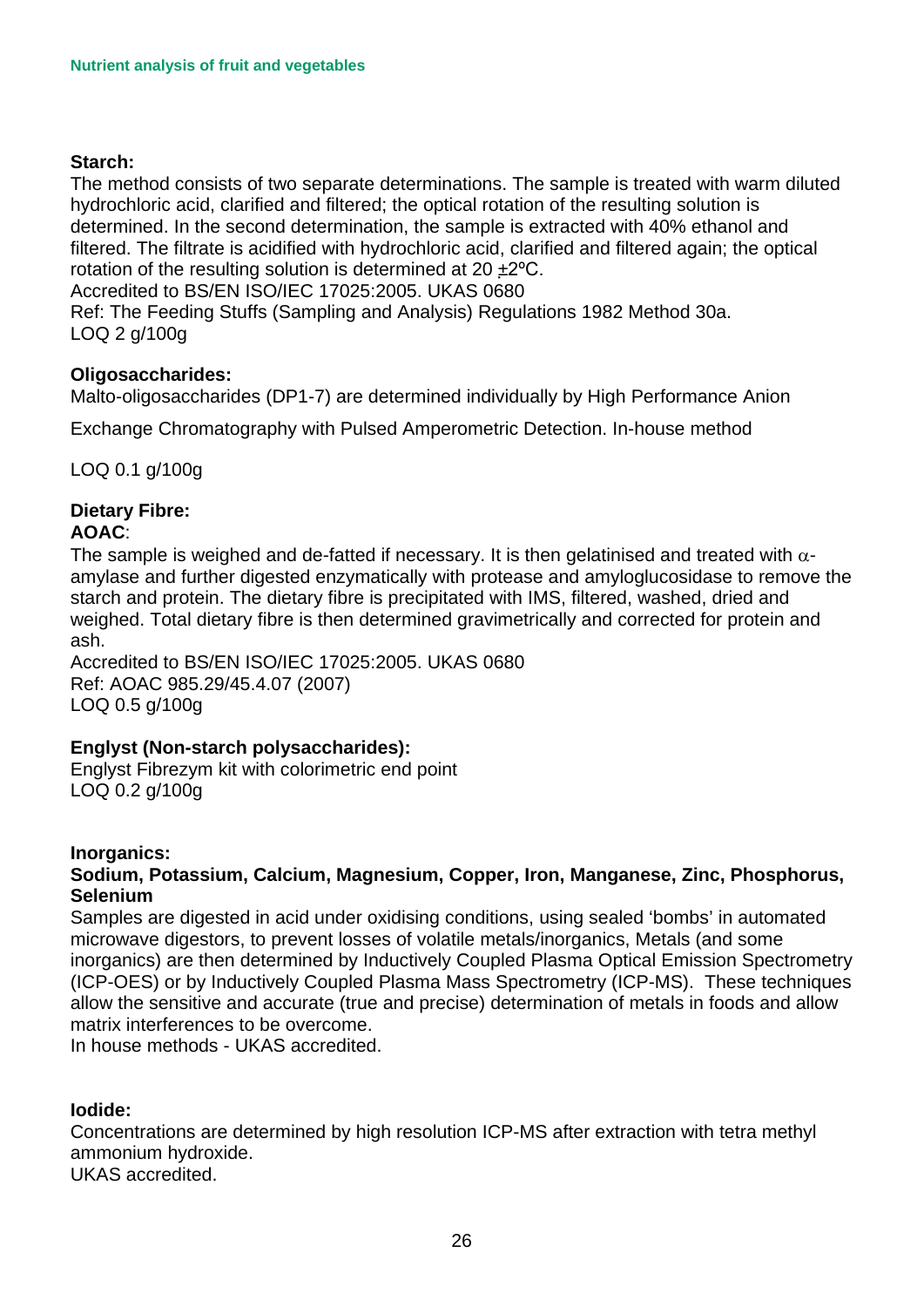### **Starch:**

The method consists of two separate determinations. The sample is treated with warm diluted hydrochloric acid, clarified and filtered; the optical rotation of the resulting solution is determined. In the second determination, the sample is extracted with 40% ethanol and filtered. The filtrate is acidified with hydrochloric acid, clarified and filtered again; the optical rotation of the resulting solution is determined at 20 ±2ºC.

Accredited to BS/EN ISO/IEC 17025:2005. UKAS 0680

Ref: The Feeding Stuffs (Sampling and Analysis) Regulations 1982 Method 30a. LOQ 2 g/100g

#### **Oligosaccharides:**

Malto-oligosaccharides (DP1-7) are determined individually by High Performance Anion

Exchange Chromatography with Pulsed Amperometric Detection. In-house method

LOQ 0.1 g/100g

#### **Dietary Fibre: AOAC**:

The sample is weighed and de-fatted if necessary. It is then gelatinised and treated with  $\alpha$ amylase and further digested enzymatically with protease and amyloglucosidase to remove the starch and protein. The dietary fibre is precipitated with IMS, filtered, washed, dried and weighed. Total dietary fibre is then determined gravimetrically and corrected for protein and ash.

Accredited to BS/EN ISO/IEC 17025:2005. UKAS 0680 Ref: AOAC 985.29/45.4.07 (2007) LOQ 0.5 g/100g

### **Englyst (Non-starch polysaccharides):**

Englyst Fibrezym kit with colorimetric end point LOQ 0.2 g/100g

#### **Inorganics:**

### **Sodium, Potassium, Calcium, Magnesium, Copper, Iron, Manganese, Zinc, Phosphorus, Selenium**

matrix interferences to be overcome. matrix interferences to be overcome. In house methods - UKAS accredited. Samples are digested in acid under oxidising conditions, using sealed 'bombs' in automated microwave digestors, to prevent losses of volatile metals/inorganics, Metals (and some inorganics) are then determined by Inductively Coupled Plasma Optical Emission Spectrometry (ICP-OES) or by Inductively Coupled Plasma Mass Spectrometry (ICP-MS). These techniques allow the sensitive and accurate (true and precise) determination of metals in foods and allow

### **Iodide:**

 ammonium hydroxide. Concentrations are determined by high resolution ICP-MS after extraction with tetra methyl

UKAS accredited.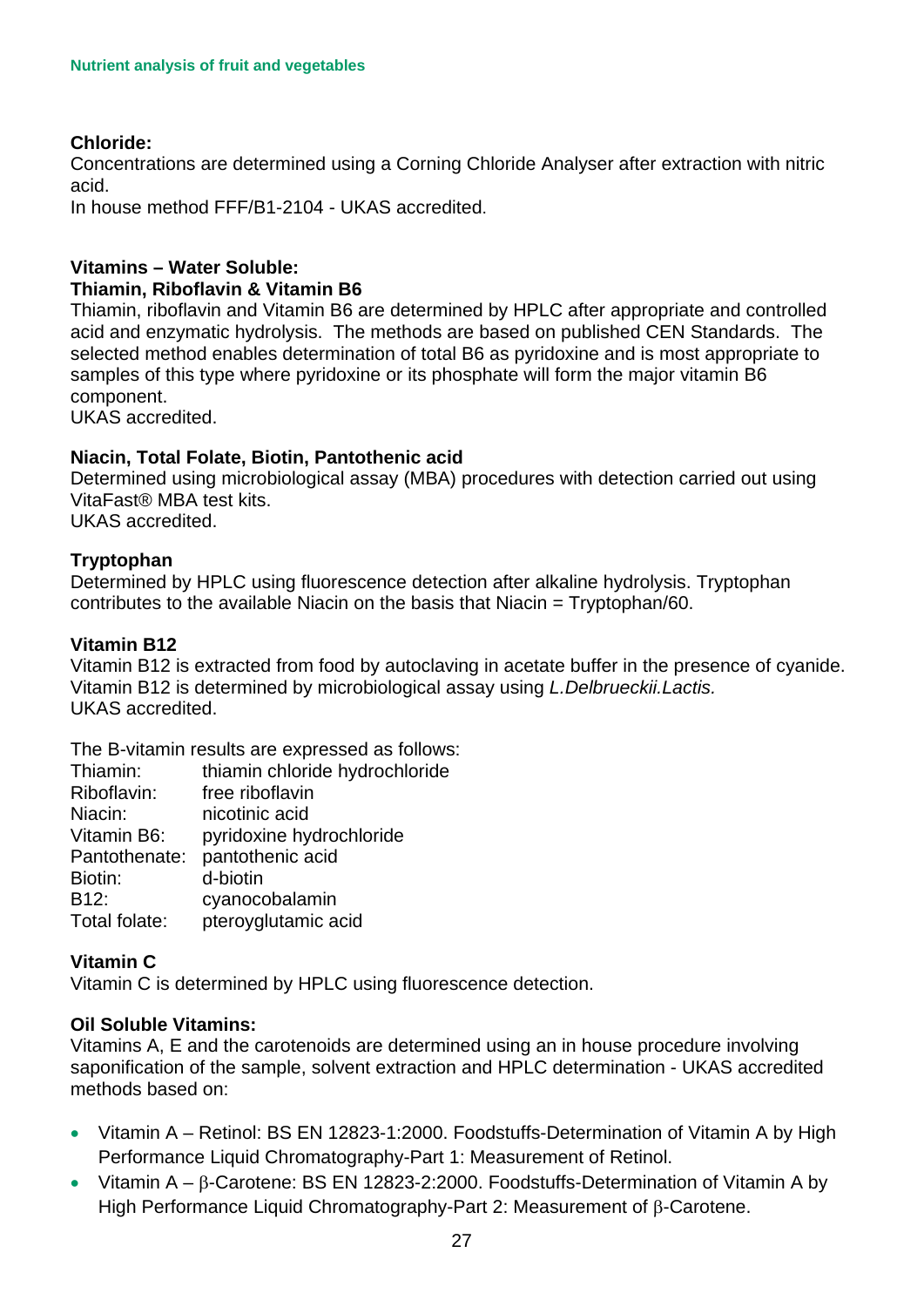### **Chloride:**

Concentrations are determined using a Corning Chloride Analyser after extraction with nitric acid.

In house method FFF/B1-2104 - UKAS accredited.

#### **Vitamins – Water Soluble: Thiamin, Riboflavin & Vitamin B6**

component. Thiamin, riboflavin and Vitamin B6 are determined by HPLC after appropriate and controlled acid and enzymatic hydrolysis. The methods are based on published CEN Standards. The selected method enables determination of total B6 as pyridoxine and is most appropriate to samples of this type where pyridoxine or its phosphate will form the major vitamin B6

UKAS accredited.

### **Niacin, Total Folate, Biotin, Pantothenic acid**

 VitaFast® MBA test kits. Determined using microbiological assay (MBA) procedures with detection carried out using

UKAS accredited.

### **Tryptophan**

Determined by HPLC using fluorescence detection after alkaline hydrolysis. Tryptophan contributes to the available Niacin on the basis that Niacin = Tryptophan/60.

#### **Vitamin B12**

 Vitamin B12 is determined by microbiological assay using *L.Delbrueckii.Lactis.* Vitamin B12 is extracted from food by autoclaving in acetate buffer in the presence of cyanide. UKAS accredited.

The B-vitamin results are expressed as follows:

| Thiamin:          | thiamin chloride hydrochloride |
|-------------------|--------------------------------|
| Riboflavin:       | free riboflavin                |
| Niacin:           | nicotinic acid                 |
| Vitamin B6:       | pyridoxine hydrochloride       |
| Pantothenate:     | pantothenic acid               |
| Biotin:           | d-biotin                       |
| B <sub>12</sub> : | cyanocobalamin                 |
| Total folate:     | pteroyglutamic acid            |

#### **Vitamin C**

Vitamin C is determined by HPLC using fluorescence detection.

#### **Oil Soluble Vitamins:**

Vitamins A, E and the carotenoids are determined using an in house procedure involving saponification of the sample, solvent extraction and HPLC determination - UKAS accredited methods based on:

- Vitamin A Retinol: BS EN 12823-1:2000. Foodstuffs-Determination of Vitamin A by High Performance Liquid Chromatography-Part 1: Measurement of Retinol.
- Vitamin  $A \beta$ -Carotene: BS EN 12823-2:2000. Foodstuffs-Determination of Vitamin A by High Performance Liquid Chromatography-Part 2: Measurement of β-Carotene.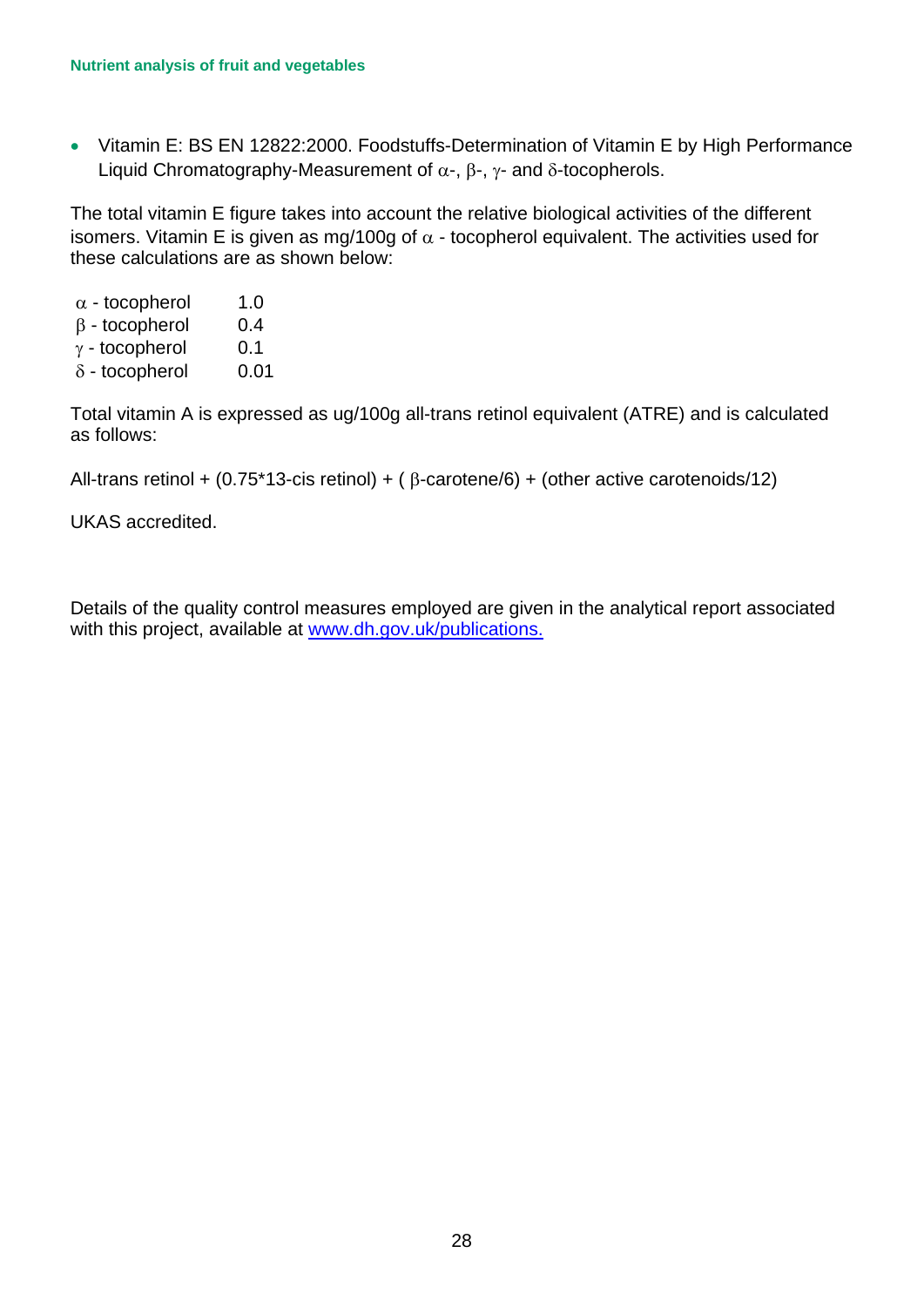• Vitamin E: BS EN 12822:2000. Foodstuffs-Determination of Vitamin E by High Performance Liquid Chromatography-Measurement of  $\alpha$ -,  $\beta$ -,  $\gamma$ - and δ-tocopherols.

isomers. Vitamin E is given as mg/100g of  $\alpha$  - tocopherol equivalent. The activities used for The total vitamin E figure takes into account the relative biological activities of the different these calculations are as shown below:

- $\alpha$  tocopherol 1.0
- β tocopherol 0.4
- $\gamma$  tocopherol 0.1
- $\delta$  tocopherol 0.01

Total vitamin A is expressed as ug/100g all-trans retinol equivalent (ATRE) and is calculated as follows:

All-trans retinol + (0.75\*13-cis retinol) + ( $\beta$ -carotene/6) + (other active carotenoids/12)

UKAS accredited.

Details of the quality control measures employed are given in the analytical report associated with this project, available at [www.dh.gov.uk/publications.](http://www.dh.gov.uk/publications)